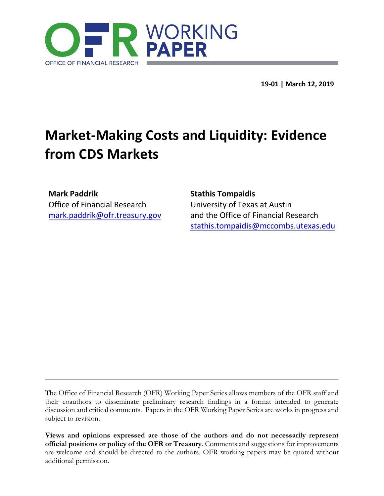

**19-01 | March 12, 2019**

# **Market-Making Costs and Liquidity: Evidence from CDS Markets**

**Mark Paddrik**  Office of Financial Research [mark.paddrik@ofr.treasury.gov](mailto:mark.paddrik@ofr.treasury.gov) **Stathis Tompaidis** University of Texas at Austin and the Office of Financial Research [stathis.tompaidis@mccombs.utexas.edu](mailto:stathis.tompaidis@mccombs.utexas.edu)

The Office of Financial Research (OFR) Working Paper Series allows members of the OFR staff and their coauthors to disseminate preliminary research findings in a format intended to generate discussion and critical comments. Papers in the OFR Working Paper Series are works in progress and subject to revision.

**Views and opinions expressed are those of the authors and do not necessarily represent official positions or policy of the OFR or Treasury**. Comments and suggestions for improvements are welcome and should be directed to the authors. OFR working papers may be quoted without additional permission.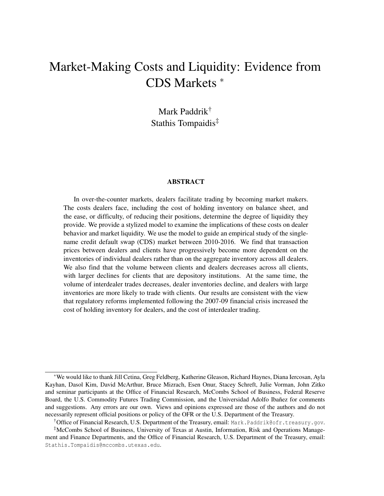# Market-Making Costs and Liquidity: Evidence from CDS Markets <sup>∗</sup>

Mark Paddrik† Stathis Tompaidis‡

#### ABSTRACT

In over-the-counter markets, dealers facilitate trading by becoming market makers. The costs dealers face, including the cost of holding inventory on balance sheet, and the ease, or difficulty, of reducing their positions, determine the degree of liquidity they provide. We provide a stylized model to examine the implications of these costs on dealer behavior and market liquidity. We use the model to guide an empirical study of the singlename credit default swap (CDS) market between 2010-2016. We find that transaction prices between dealers and clients have progressively become more dependent on the inventories of individual dealers rather than on the aggregate inventory across all dealers. We also find that the volume between clients and dealers decreases across all clients, with larger declines for clients that are depository institutions. At the same time, the volume of interdealer trades decreases, dealer inventories decline, and dealers with large inventories are more likely to trade with clients. Our results are consistent with the view that regulatory reforms implemented following the 2007-09 financial crisis increased the cost of holding inventory for dealers, and the cost of interdealer trading.

<sup>∗</sup>We would like to thank Jill Cetina, Greg Feldberg, Katherine Gleason, Richard Haynes, Diana Iercosan, Ayla Kayhan, Dasol Kim, David McArthur, Bruce Mizrach, Esen Onur, Stacey Schreft, Julie Vorman, John Zitko and seminar participants at the Office of Financial Research, McCombs School of Business, Federal Reserve Board, the U.S. Commodity Futures Trading Commission, and the Universidad Adolfo Ibañez for comments and suggestions. Any errors are our own. Views and opinions expressed are those of the authors and do not necessarily represent official positions or policy of the OFR or the U.S. Department of the Treasury.

<sup>†</sup>Office of Financial Research, U.S. Department of the Treasury, email: Mark.Paddrik@ofr.treasury.gov.

<sup>‡</sup>McCombs School of Business, University of Texas at Austin, Information, Risk and Operations Management and Finance Departments, and the Office of Financial Research, U.S. Department of the Treasury, email: Stathis.Tompaidis@mccombs.utexas.edu.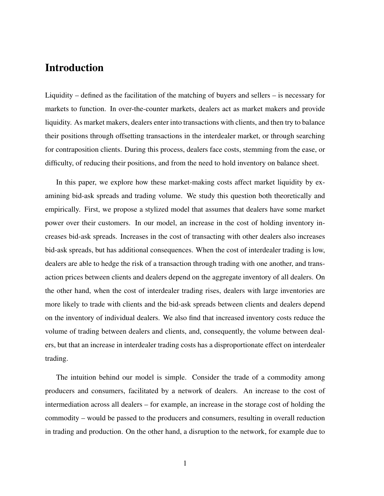# Introduction

Liquidity – defined as the facilitation of the matching of buyers and sellers – is necessary for markets to function. In over-the-counter markets, dealers act as market makers and provide liquidity. As market makers, dealers enter into transactions with clients, and then try to balance their positions through offsetting transactions in the interdealer market, or through searching for contraposition clients. During this process, dealers face costs, stemming from the ease, or difficulty, of reducing their positions, and from the need to hold inventory on balance sheet.

In this paper, we explore how these market-making costs affect market liquidity by examining bid-ask spreads and trading volume. We study this question both theoretically and empirically. First, we propose a stylized model that assumes that dealers have some market power over their customers. In our model, an increase in the cost of holding inventory increases bid-ask spreads. Increases in the cost of transacting with other dealers also increases bid-ask spreads, but has additional consequences. When the cost of interdealer trading is low, dealers are able to hedge the risk of a transaction through trading with one another, and transaction prices between clients and dealers depend on the aggregate inventory of all dealers. On the other hand, when the cost of interdealer trading rises, dealers with large inventories are more likely to trade with clients and the bid-ask spreads between clients and dealers depend on the inventory of individual dealers. We also find that increased inventory costs reduce the volume of trading between dealers and clients, and, consequently, the volume between dealers, but that an increase in interdealer trading costs has a disproportionate effect on interdealer trading.

The intuition behind our model is simple. Consider the trade of a commodity among producers and consumers, facilitated by a network of dealers. An increase to the cost of intermediation across all dealers – for example, an increase in the storage cost of holding the commodity – would be passed to the producers and consumers, resulting in overall reduction in trading and production. On the other hand, a disruption to the network, for example due to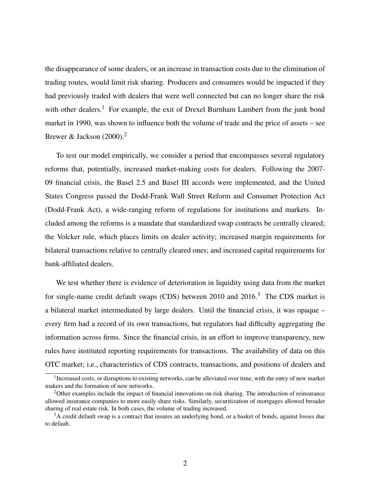the disappearance of some dealers, or an increase in transaction costs due to the elimination of trading routes, would limit risk sharing. Producers and consumers would be impacted if they had previously traded with dealers that were well connected but can no longer share the risk with other dealers.<sup>1</sup> For example, the exit of Drexel Burnham Lambert from the junk bond market in 1990, was shown to influence both the volume of trade and the price of assets – see Brewer & Jackson  $(2000).<sup>2</sup>$ 

To test our model empirically, we consider a period that encompasses several regulatory reforms that, potentially, increased market-making costs for dealers. Following the 2007- 09 financial crisis, the Basel 2.5 and Basel III accords were implemented, and the United States Congress passed the Dodd-Frank Wall Street Reform and Consumer Protection Act (Dodd-Frank Act), a wide-ranging reform of regulations for institutions and markets. Included among the reforms is a mandate that standardized swap contracts be centrally cleared; the Volcker rule, which places limits on dealer activity; increased margin requirements for bilateral transactions relative to centrally cleared ones; and increased capital requirements for bank-affiliated dealers.

We test whether there is evidence of deterioration in liquidity using data from the market for single-name credit default swaps (CDS) between 2010 and  $2016<sup>3</sup>$ . The CDS market is a bilateral market intermediated by large dealers. Until the financial crisis, it was opaque – every firm had a record of its own transactions, but regulators had difficulty aggregating the information across firms. Since the financial crisis, in an effort to improve transparency, new rules have instituted reporting requirements for transactions. The availability of data on this OTC market; i.e., characteristics of CDS contracts, transactions, and positions of dealers and

<sup>&</sup>lt;sup>1</sup> Increased costs, or disruptions to existing networks, can be alleviated over time, with the entry of new market makers and the formation of new networks.

<sup>&</sup>lt;sup>2</sup>Other examples include the impact of financial innovations on risk sharing. The introduction of reinsurance allowed insurance companies to more easily share risks. Similarly, securitization of mortgages allowed broader sharing of real estate risk. In both cases, the volume of trading increased.

<sup>&</sup>lt;sup>3</sup>A credit default swap is a contract that insures an underlying bond, or a basket of bonds, against losses due to default.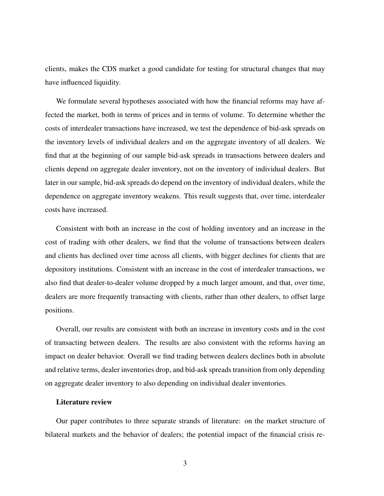clients, makes the CDS market a good candidate for testing for structural changes that may have influenced liquidity.

We formulate several hypotheses associated with how the financial reforms may have affected the market, both in terms of prices and in terms of volume. To determine whether the costs of interdealer transactions have increased, we test the dependence of bid-ask spreads on the inventory levels of individual dealers and on the aggregate inventory of all dealers. We find that at the beginning of our sample bid-ask spreads in transactions between dealers and clients depend on aggregate dealer inventory, not on the inventory of individual dealers. But later in our sample, bid-ask spreads do depend on the inventory of individual dealers, while the dependence on aggregate inventory weakens. This result suggests that, over time, interdealer costs have increased.

Consistent with both an increase in the cost of holding inventory and an increase in the cost of trading with other dealers, we find that the volume of transactions between dealers and clients has declined over time across all clients, with bigger declines for clients that are depository institutions. Consistent with an increase in the cost of interdealer transactions, we also find that dealer-to-dealer volume dropped by a much larger amount, and that, over time, dealers are more frequently transacting with clients, rather than other dealers, to offset large positions.

Overall, our results are consistent with both an increase in inventory costs and in the cost of transacting between dealers. The results are also consistent with the reforms having an impact on dealer behavior. Overall we find trading between dealers declines both in absolute and relative terms, dealer inventories drop, and bid-ask spreads transition from only depending on aggregate dealer inventory to also depending on individual dealer inventories.

#### Literature review

Our paper contributes to three separate strands of literature: on the market structure of bilateral markets and the behavior of dealers; the potential impact of the financial crisis re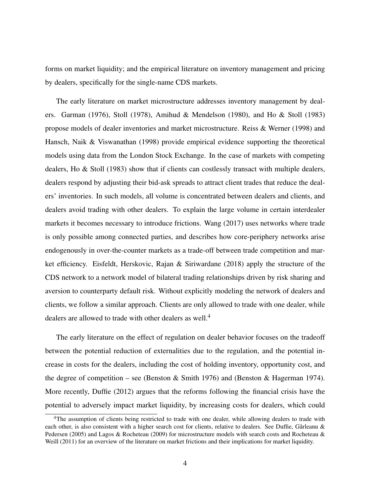forms on market liquidity; and the empirical literature on inventory management and pricing by dealers, specifically for the single-name CDS markets.

The early literature on market microstructure addresses inventory management by dealers. Garman (1976), Stoll (1978), Amihud & Mendelson (1980), and Ho & Stoll (1983) propose models of dealer inventories and market microstructure. Reiss & Werner (1998) and Hansch, Naik & Viswanathan (1998) provide empirical evidence supporting the theoretical models using data from the London Stock Exchange. In the case of markets with competing dealers, Ho & Stoll (1983) show that if clients can costlessly transact with multiple dealers, dealers respond by adjusting their bid-ask spreads to attract client trades that reduce the dealers' inventories. In such models, all volume is concentrated between dealers and clients, and dealers avoid trading with other dealers. To explain the large volume in certain interdealer markets it becomes necessary to introduce frictions. Wang (2017) uses networks where trade is only possible among connected parties, and describes how core-periphery networks arise endogenously in over-the-counter markets as a trade-off between trade competition and market efficiency. Eisfeldt, Herskovic, Rajan & Siriwardane (2018) apply the structure of the CDS network to a network model of bilateral trading relationships driven by risk sharing and aversion to counterparty default risk. Without explicitly modeling the network of dealers and clients, we follow a similar approach. Clients are only allowed to trade with one dealer, while dealers are allowed to trade with other dealers as well.<sup>4</sup>

The early literature on the effect of regulation on dealer behavior focuses on the tradeoff between the potential reduction of externalities due to the regulation, and the potential increase in costs for the dealers, including the cost of holding inventory, opportunity cost, and the degree of competition – see (Benston & Smith 1976) and (Benston & Hagerman 1974). More recently, Duffie (2012) argues that the reforms following the financial crisis have the potential to adversely impact market liquidity, by increasing costs for dealers, which could

<sup>&</sup>lt;sup>4</sup>The assumption of clients being restricted to trade with one dealer, while allowing dealers to trade with each other, is also consistent with a higher search cost for clients, relative to dealers. See Duffie, Gârleanu  $\&$ Pedersen (2005) and Lagos & Rocheteau (2009) for microstructure models with search costs and Rocheteau & Weill (2011) for an overview of the literature on market frictions and their implications for market liquidity.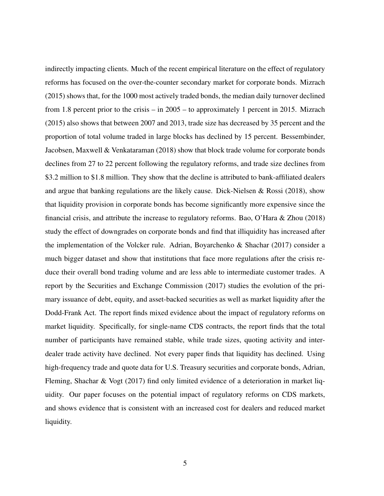indirectly impacting clients. Much of the recent empirical literature on the effect of regulatory reforms has focused on the over-the-counter secondary market for corporate bonds. Mizrach (2015) shows that, for the 1000 most actively traded bonds, the median daily turnover declined from 1.8 percent prior to the crisis – in 2005 – to approximately 1 percent in 2015. Mizrach (2015) also shows that between 2007 and 2013, trade size has decreased by 35 percent and the proportion of total volume traded in large blocks has declined by 15 percent. Bessembinder, Jacobsen, Maxwell & Venkataraman (2018) show that block trade volume for corporate bonds declines from 27 to 22 percent following the regulatory reforms, and trade size declines from \$3.2 million to \$1.8 million. They show that the decline is attributed to bank-affiliated dealers and argue that banking regulations are the likely cause. Dick-Nielsen & Rossi (2018), show that liquidity provision in corporate bonds has become significantly more expensive since the financial crisis, and attribute the increase to regulatory reforms. Bao, O'Hara & Zhou (2018) study the effect of downgrades on corporate bonds and find that illiquidity has increased after the implementation of the Volcker rule. Adrian, Boyarchenko & Shachar (2017) consider a much bigger dataset and show that institutions that face more regulations after the crisis reduce their overall bond trading volume and are less able to intermediate customer trades. A report by the Securities and Exchange Commission (2017) studies the evolution of the primary issuance of debt, equity, and asset-backed securities as well as market liquidity after the Dodd-Frank Act. The report finds mixed evidence about the impact of regulatory reforms on market liquidity. Specifically, for single-name CDS contracts, the report finds that the total number of participants have remained stable, while trade sizes, quoting activity and interdealer trade activity have declined. Not every paper finds that liquidity has declined. Using high-frequency trade and quote data for U.S. Treasury securities and corporate bonds, Adrian, Fleming, Shachar & Vogt (2017) find only limited evidence of a deterioration in market liquidity. Our paper focuses on the potential impact of regulatory reforms on CDS markets, and shows evidence that is consistent with an increased cost for dealers and reduced market liquidity.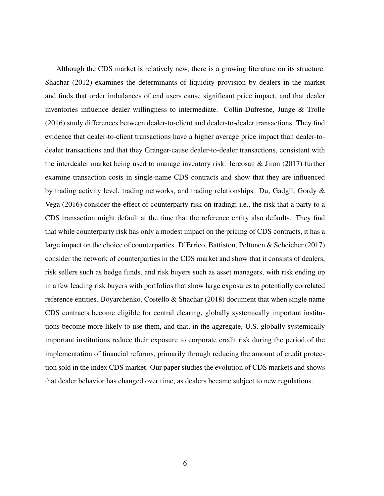Although the CDS market is relatively new, there is a growing literature on its structure. Shachar (2012) examines the determinants of liquidity provision by dealers in the market and finds that order imbalances of end users cause significant price impact, and that dealer inventories influence dealer willingness to intermediate. Collin-Dufresne, Junge & Trolle (2016) study differences between dealer-to-client and dealer-to-dealer transactions. They find evidence that dealer-to-client transactions have a higher average price impact than dealer-todealer transactions and that they Granger-cause dealer-to-dealer transactions, consistent with the interdealer market being used to manage inventory risk. Iercosan & Jiron (2017) further examine transaction costs in single-name CDS contracts and show that they are influenced by trading activity level, trading networks, and trading relationships. Du, Gadgil, Gordy & Vega (2016) consider the effect of counterparty risk on trading; i.e., the risk that a party to a CDS transaction might default at the time that the reference entity also defaults. They find that while counterparty risk has only a modest impact on the pricing of CDS contracts, it has a large impact on the choice of counterparties. D'Errico, Battiston, Peltonen & Scheicher (2017) consider the network of counterparties in the CDS market and show that it consists of dealers, risk sellers such as hedge funds, and risk buyers such as asset managers, with risk ending up in a few leading risk buyers with portfolios that show large exposures to potentially correlated reference entities. Boyarchenko, Costello & Shachar (2018) document that when single name CDS contracts become eligible for central clearing, globally systemically important institutions become more likely to use them, and that, in the aggregate, U.S. globally systemically important institutions reduce their exposure to corporate credit risk during the period of the implementation of financial reforms, primarily through reducing the amount of credit protection sold in the index CDS market. Our paper studies the evolution of CDS markets and shows that dealer behavior has changed over time, as dealers became subject to new regulations.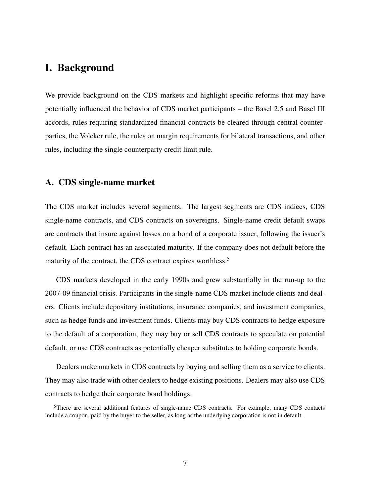# I. Background

We provide background on the CDS markets and highlight specific reforms that may have potentially influenced the behavior of CDS market participants – the Basel 2.5 and Basel III accords, rules requiring standardized financial contracts be cleared through central counterparties, the Volcker rule, the rules on margin requirements for bilateral transactions, and other rules, including the single counterparty credit limit rule.

### A. CDS single-name market

The CDS market includes several segments. The largest segments are CDS indices, CDS single-name contracts, and CDS contracts on sovereigns. Single-name credit default swaps are contracts that insure against losses on a bond of a corporate issuer, following the issuer's default. Each contract has an associated maturity. If the company does not default before the maturity of the contract, the CDS contract expires worthless.<sup>5</sup>

CDS markets developed in the early 1990s and grew substantially in the run-up to the 2007-09 financial crisis. Participants in the single-name CDS market include clients and dealers. Clients include depository institutions, insurance companies, and investment companies, such as hedge funds and investment funds. Clients may buy CDS contracts to hedge exposure to the default of a corporation, they may buy or sell CDS contracts to speculate on potential default, or use CDS contracts as potentially cheaper substitutes to holding corporate bonds.

Dealers make markets in CDS contracts by buying and selling them as a service to clients. They may also trade with other dealers to hedge existing positions. Dealers may also use CDS contracts to hedge their corporate bond holdings.

<sup>&</sup>lt;sup>5</sup>There are several additional features of single-name CDS contracts. For example, many CDS contacts include a coupon, paid by the buyer to the seller, as long as the underlying corporation is not in default.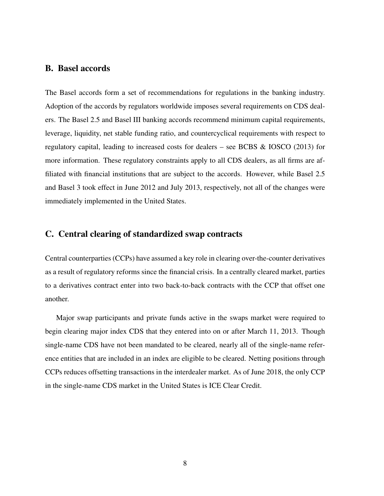### B. Basel accords

The Basel accords form a set of recommendations for regulations in the banking industry. Adoption of the accords by regulators worldwide imposes several requirements on CDS dealers. The Basel 2.5 and Basel III banking accords recommend minimum capital requirements, leverage, liquidity, net stable funding ratio, and countercyclical requirements with respect to regulatory capital, leading to increased costs for dealers – see BCBS & IOSCO (2013) for more information. These regulatory constraints apply to all CDS dealers, as all firms are affiliated with financial institutions that are subject to the accords. However, while Basel 2.5 and Basel 3 took effect in June 2012 and July 2013, respectively, not all of the changes were immediately implemented in the United States.

### C. Central clearing of standardized swap contracts

Central counterparties (CCPs) have assumed a key role in clearing over-the-counter derivatives as a result of regulatory reforms since the financial crisis. In a centrally cleared market, parties to a derivatives contract enter into two back-to-back contracts with the CCP that offset one another.

Major swap participants and private funds active in the swaps market were required to begin clearing major index CDS that they entered into on or after March 11, 2013. Though single-name CDS have not been mandated to be cleared, nearly all of the single-name reference entities that are included in an index are eligible to be cleared. Netting positions through CCPs reduces offsetting transactions in the interdealer market. As of June 2018, the only CCP in the single-name CDS market in the United States is ICE Clear Credit.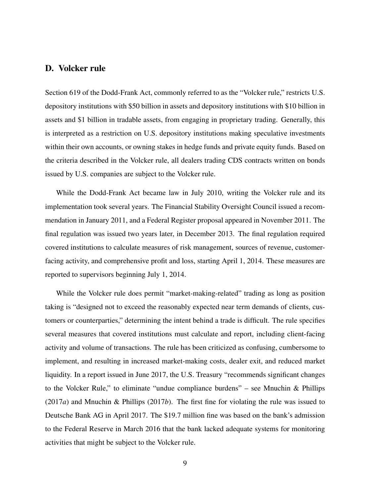### D. Volcker rule

Section 619 of the Dodd-Frank Act, commonly referred to as the "Volcker rule," restricts U.S. depository institutions with \$50 billion in assets and depository institutions with \$10 billion in assets and \$1 billion in tradable assets, from engaging in proprietary trading. Generally, this is interpreted as a restriction on U.S. depository institutions making speculative investments within their own accounts, or owning stakes in hedge funds and private equity funds. Based on the criteria described in the Volcker rule, all dealers trading CDS contracts written on bonds issued by U.S. companies are subject to the Volcker rule.

While the Dodd-Frank Act became law in July 2010, writing the Volcker rule and its implementation took several years. The Financial Stability Oversight Council issued a recommendation in January 2011, and a Federal Register proposal appeared in November 2011. The final regulation was issued two years later, in December 2013. The final regulation required covered institutions to calculate measures of risk management, sources of revenue, customerfacing activity, and comprehensive profit and loss, starting April 1, 2014. These measures are reported to supervisors beginning July 1, 2014.

While the Volcker rule does permit "market-making-related" trading as long as position taking is "designed not to exceed the reasonably expected near term demands of clients, customers or counterparties," determining the intent behind a trade is difficult. The rule specifies several measures that covered institutions must calculate and report, including client-facing activity and volume of transactions. The rule has been criticized as confusing, cumbersome to implement, and resulting in increased market-making costs, dealer exit, and reduced market liquidity. In a report issued in June 2017, the U.S. Treasury "recommends significant changes to the Volcker Rule," to eliminate "undue compliance burdens" – see Mnuchin & Phillips (2017*a*) and Mnuchin & Phillips (2017*b*). The first fine for violating the rule was issued to Deutsche Bank AG in April 2017. The \$19.7 million fine was based on the bank's admission to the Federal Reserve in March 2016 that the bank lacked adequate systems for monitoring activities that might be subject to the Volcker rule.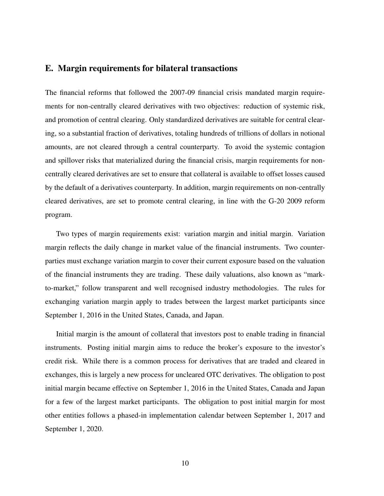### E. Margin requirements for bilateral transactions

The financial reforms that followed the 2007-09 financial crisis mandated margin requirements for non-centrally cleared derivatives with two objectives: reduction of systemic risk, and promotion of central clearing. Only standardized derivatives are suitable for central clearing, so a substantial fraction of derivatives, totaling hundreds of trillions of dollars in notional amounts, are not cleared through a central counterparty. To avoid the systemic contagion and spillover risks that materialized during the financial crisis, margin requirements for noncentrally cleared derivatives are set to ensure that collateral is available to offset losses caused by the default of a derivatives counterparty. In addition, margin requirements on non-centrally cleared derivatives, are set to promote central clearing, in line with the G-20 2009 reform program.

Two types of margin requirements exist: variation margin and initial margin. Variation margin reflects the daily change in market value of the financial instruments. Two counterparties must exchange variation margin to cover their current exposure based on the valuation of the financial instruments they are trading. These daily valuations, also known as "markto-market," follow transparent and well recognised industry methodologies. The rules for exchanging variation margin apply to trades between the largest market participants since September 1, 2016 in the United States, Canada, and Japan.

Initial margin is the amount of collateral that investors post to enable trading in financial instruments. Posting initial margin aims to reduce the broker's exposure to the investor's credit risk. While there is a common process for derivatives that are traded and cleared in exchanges, this is largely a new process for uncleared OTC derivatives. The obligation to post initial margin became effective on September 1, 2016 in the United States, Canada and Japan for a few of the largest market participants. The obligation to post initial margin for most other entities follows a phased-in implementation calendar between September 1, 2017 and September 1, 2020.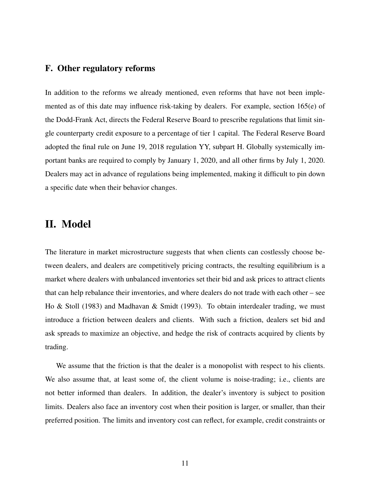### F. Other regulatory reforms

In addition to the reforms we already mentioned, even reforms that have not been implemented as of this date may influence risk-taking by dealers. For example, section 165(e) of the Dodd-Frank Act, directs the Federal Reserve Board to prescribe regulations that limit single counterparty credit exposure to a percentage of tier 1 capital. The Federal Reserve Board adopted the final rule on June 19, 2018 regulation YY, subpart H. Globally systemically important banks are required to comply by January 1, 2020, and all other firms by July 1, 2020. Dealers may act in advance of regulations being implemented, making it difficult to pin down a specific date when their behavior changes.

# II. Model

The literature in market microstructure suggests that when clients can costlessly choose between dealers, and dealers are competitively pricing contracts, the resulting equilibrium is a market where dealers with unbalanced inventories set their bid and ask prices to attract clients that can help rebalance their inventories, and where dealers do not trade with each other – see Ho & Stoll (1983) and Madhavan & Smidt (1993). To obtain interdealer trading, we must introduce a friction between dealers and clients. With such a friction, dealers set bid and ask spreads to maximize an objective, and hedge the risk of contracts acquired by clients by trading.

We assume that the friction is that the dealer is a monopolist with respect to his clients. We also assume that, at least some of, the client volume is noise-trading; i.e., clients are not better informed than dealers. In addition, the dealer's inventory is subject to position limits. Dealers also face an inventory cost when their position is larger, or smaller, than their preferred position. The limits and inventory cost can reflect, for example, credit constraints or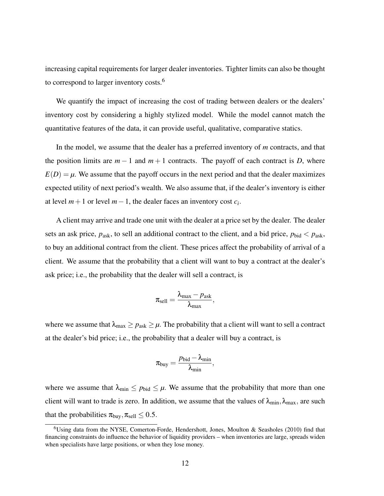increasing capital requirements for larger dealer inventories. Tighter limits can also be thought to correspond to larger inventory costs.<sup>6</sup>

We quantify the impact of increasing the cost of trading between dealers or the dealers' inventory cost by considering a highly stylized model. While the model cannot match the quantitative features of the data, it can provide useful, qualitative, comparative statics.

In the model, we assume that the dealer has a preferred inventory of *m* contracts, and that the position limits are  $m - 1$  and  $m + 1$  contracts. The payoff of each contract is *D*, where  $E(D) = \mu$ . We assume that the payoff occurs in the next period and that the dealer maximizes expected utility of next period's wealth. We also assume that, if the dealer's inventory is either at level  $m+1$  or level  $m-1$ , the dealer faces an inventory cost  $c_i$ .

A client may arrive and trade one unit with the dealer at a price set by the dealer. The dealer sets an ask price,  $p_{ask}$ , to sell an additional contract to the client, and a bid price,  $p_{bid} < p_{ask}$ , to buy an additional contract from the client. These prices affect the probability of arrival of a client. We assume that the probability that a client will want to buy a contract at the dealer's ask price; i.e., the probability that the dealer will sell a contract, is

$$
\pi_{\text{sell}} = \frac{\lambda_{\text{max}} - p_{\text{ask}}}{\lambda_{\text{max}}},
$$

where we assume that  $\lambda_{\text{max}} \ge p_{\text{ask}} \ge \mu$ . The probability that a client will want to sell a contract at the dealer's bid price; i.e., the probability that a dealer will buy a contract, is

$$
\pi_{\text{buy}} = \frac{p_{\text{bid}} - \lambda_{\text{min}}}{\lambda_{\text{min}}},
$$

where we assume that  $\lambda_{\min} \leq p_{\text{bid}} \leq \mu$ . We assume that the probability that more than one client will want to trade is zero. In addition, we assume that the values of  $\lambda_{min}$ ,  $\lambda_{max}$ , are such that the probabilities  $\pi_{\text{buy}}, \pi_{\text{sell}} \leq 0.5$ .

<sup>6</sup>Using data from the NYSE, Comerton-Forde, Hendershott, Jones, Moulton & Seasholes (2010) find that financing constraints do influence the behavior of liquidity providers – when inventories are large, spreads widen when specialists have large positions, or when they lose money.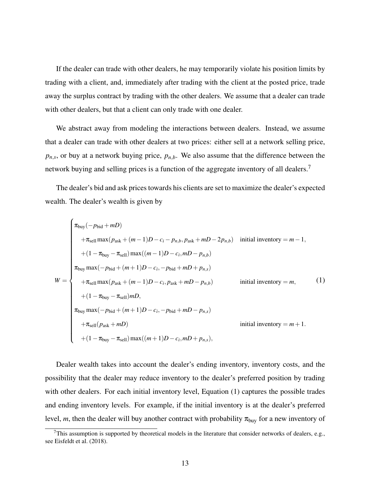If the dealer can trade with other dealers, he may temporarily violate his position limits by trading with a client, and, immediately after trading with the client at the posted price, trade away the surplus contract by trading with the other dealers. We assume that a dealer can trade with other dealers, but that a client can only trade with one dealer.

We abstract away from modeling the interactions between dealers. Instead, we assume that a dealer can trade with other dealers at two prices: either sell at a network selling price,  $p_{n,s}$ , or buy at a network buying price,  $p_{n,b}$ . We also assume that the difference between the network buying and selling prices is a function of the aggregate inventory of all dealers.<sup>7</sup>

The dealer's bid and ask prices towards his clients are set to maximize the dealer's expected wealth. The dealer's wealth is given by

$$
\pi_{\text{buy}}(-p_{\text{bid}} + mD)
$$
\n
$$
+ \pi_{\text{sell}} \max(p_{\text{ask}} + (m-1)D - c_i - p_{n,b}, p_{\text{ask}} + mD - 2p_{n,b})
$$
 initial inventory = m - 1,  
\n
$$
+ (1 - \pi_{\text{buy}} - \pi_{\text{sell}}) \max((m-1)D - c_i, mD - p_{n,b})
$$
\n
$$
\pi_{\text{buy}} \max(-p_{\text{bid}} + (m+1)D - c_i, -p_{\text{bid}} + mD + p_{n,s})
$$
\n
$$
+ \pi_{\text{sell}} \max(p_{\text{ask}} + (m-1)D - c_i, p_{\text{ask}} + mD - p_{n,b})
$$
 initial inventory = m, (1)  
\n
$$
+ (1 - \pi_{\text{buy}} - \pi_{\text{sell}})mD,
$$
\n
$$
\pi_{\text{buy}} \max(-p_{\text{bid}} + (m+1)D - c_i, -p_{\text{bid}} + mD - p_{n,s})
$$
initial inventory = m + 1.  
\n
$$
+ (1 - \pi_{\text{buy}} - \pi_{\text{sell}}) \max((m+1)D - c_i, mD + p_{n,s}),
$$

Dealer wealth takes into account the dealer's ending inventory, inventory costs, and the possibility that the dealer may reduce inventory to the dealer's preferred position by trading with other dealers. For each initial inventory level, Equation (1) captures the possible trades and ending inventory levels. For example, if the initial inventory is at the dealer's preferred level, *m*, then the dealer will buy another contract with probability  $\pi_{\text{buy}}$  for a new inventory of

 $7$ This assumption is supported by theoretical models in the literature that consider networks of dealers, e.g., see Eisfeldt et al. (2018).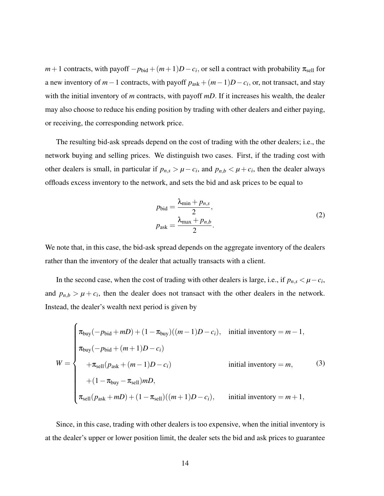$m+1$  contracts, with payoff  $-p_{bid} + (m+1)D - c_i$ , or sell a contract with probability  $\pi_{sell}$  for a new inventory of *m*−1 contracts, with payoff *p*ask + (*m*−1)*D*−*c<sup>i</sup>* , or, not transact, and stay with the initial inventory of *m* contracts, with payoff *mD*. If it increases his wealth, the dealer may also choose to reduce his ending position by trading with other dealers and either paying, or receiving, the corresponding network price.

The resulting bid-ask spreads depend on the cost of trading with the other dealers; i.e., the network buying and selling prices. We distinguish two cases. First, if the trading cost with other dealers is small, in particular if  $p_{n,s} > \mu - c_i$ , and  $p_{n,b} < \mu + c_i$ , then the dealer always offloads excess inventory to the network, and sets the bid and ask prices to be equal to

$$
p_{\text{bid}} = \frac{\lambda_{\min} + p_{n,s}}{2},
$$
  
\n
$$
p_{\text{ask}} = \frac{\lambda_{\max} + p_{n,b}}{2}.
$$
\n(2)

We note that, in this case, the bid-ask spread depends on the aggregate inventory of the dealers rather than the inventory of the dealer that actually transacts with a client.

In the second case, when the cost of trading with other dealers is large, i.e., if  $p_{n,s} < \mu - c_i$ , and  $p_{n,b} > \mu + c_i$ , then the dealer does not transact with the other dealers in the network. Instead, the dealer's wealth next period is given by

$$
W = \begin{cases} \pi_{\text{buy}}(-p_{\text{bid}} + mD) + (1 - \pi_{\text{buy}})((m - 1)D - c_i), & \text{initial inventory} = m - 1, \\ \pi_{\text{buy}}(-p_{\text{bid}} + (m + 1)D - c_i) & \text{initial inventory} = m, \\ + \pi_{\text{sell}}(p_{\text{ask}} + (m - 1)D - c_i) & \text{initial inventory} = m, \\ + (1 - \pi_{\text{buy}} - \pi_{\text{sell}})mD, \\ \pi_{\text{sell}}(p_{\text{ask}} + mD) + (1 - \pi_{\text{sell}})((m + 1)D - c_i), & \text{initial inventory} = m + 1, \end{cases}
$$
(3)

Since, in this case, trading with other dealers is too expensive, when the initial inventory is at the dealer's upper or lower position limit, the dealer sets the bid and ask prices to guarantee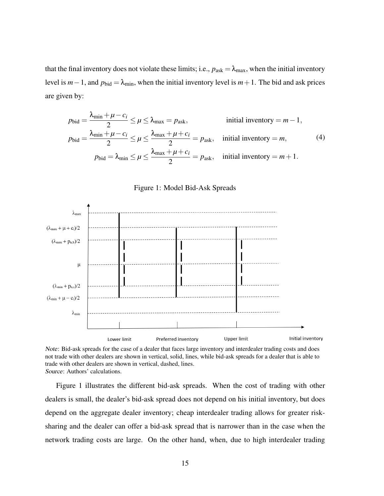that the final inventory does not violate these limits; i.e.,  $p_{ask} = \lambda_{max}$ , when the initial inventory level is  $m-1$ , and  $p_{\text{bid}} = \lambda_{\text{min}}$ , when the initial inventory level is  $m+1$ . The bid and ask prices are given by:

$$
p_{\text{bid}} = \frac{\lambda_{\min} + \mu - c_i}{2} \le \mu \le \lambda_{\max} = p_{\text{ask}}, \qquad \text{initial inventory} = m - 1,
$$
  
\n
$$
p_{\text{bid}} = \frac{\lambda_{\min} + \mu - c_i}{2} \le \mu \le \frac{\lambda_{\max} + \mu + c_i}{2} = p_{\text{ask}}, \quad \text{initial inventory} = m,
$$
  
\n
$$
p_{\text{bid}} = \lambda_{\min} \le \mu \le \frac{\lambda_{\max} + \mu + c_i}{2} = p_{\text{ask}}, \quad \text{initial inventory} = m + 1.
$$
  
\n(4)



#### Figure 1: Model Bid-Ask Spreads

Note: Bid-ask spreads for the case of a dealer that faces large inventory and interdealer trading costs and does not trade with other dealers are shown in vertical, solid, lines, while bid-ask spreads for a dealer that is able to trade with other dealers are shown in vertical, dashed, lines. Source: Authors' calculations.

Figure 1 illustrates the different bid-ask spreads. When the cost of trading with other dealers is small, the dealer's bid-ask spread does not depend on his initial inventory, but does depend on the aggregate dealer inventory; cheap interdealer trading allows for greater risksharing and the dealer can offer a bid-ask spread that is narrower than in the case when the network trading costs are large. On the other hand, when, due to high interdealer trading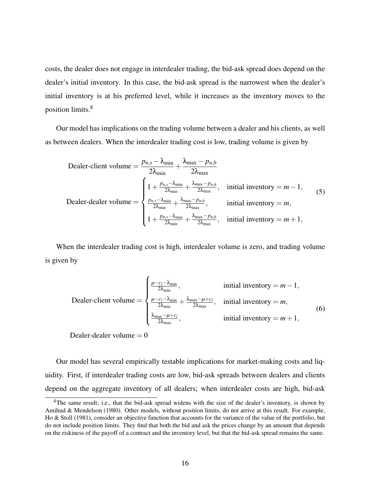costs, the dealer does not engage in interdealer trading, the bid-ask spread does depend on the dealer's initial inventory. In this case, the bid-ask spread is the narrowest when the dealer's initial inventory is at his preferred level, while it increases as the inventory moves to the position limits.<sup>8</sup>

Our model has implications on the trading volume between a dealer and his clients, as well as between dealers. When the interdealer trading cost is low, trading volume is given by

Dealer-client volume 
$$
= \frac{p_{n,s} - \lambda_{\min}}{2\lambda_{\min}} + \frac{\lambda_{\max} - p_{n,b}}{2\lambda_{\max}}
$$
  
Dealer-dealer volume 
$$
= \begin{cases} 1 + \frac{p_{n,s} - \lambda_{\min}}{2\lambda_{\min}} + \frac{\lambda_{\max} - p_{n,b}}{2\lambda_{\max}}, & \text{initial inventory} = m - 1, \\ \frac{p_{n,s} - \lambda_{\min}}{2\lambda_{\min}} + \frac{\lambda_{\max} - p_{n,b}}{2\lambda_{\max}}, & \text{initial inventory} = m, \\ 1 + \frac{p_{n,s} - \lambda_{\min}}{2\lambda_{\min}} + \frac{\lambda_{\max} - p_{n,b}}{2\lambda_{\max}}, & \text{initial inventory} = m + 1, \end{cases}
$$
(5)

When the interdealer trading cost is high, interdealer volume is zero, and trading volume is given by

Dealer-client volume 
$$
=\begin{cases} \frac{\mu-c_i-\lambda_{\min}}{2\lambda_{\min}}, & \text{initial inventory } = m-1, \\ \frac{\mu-c_i-\lambda_{\min}}{2\lambda_{\min}} + \frac{\lambda_{\max}-\mu+c_i}{2\lambda_{\max}}, & \text{initial inventory } = m, \\ \frac{\lambda_{\max}-\mu+c_i}{2\lambda_{\max}}, & \text{initial inventory } = m+1, \end{cases}
$$
 (6)

Dealer-dealer volume  $= 0$ 

Our model has several empirically testable implications for market-making costs and liquidity. First, if interdealer trading costs are low, bid-ask spreads between dealers and clients depend on the aggregate inventory of all dealers; when interdealer costs are high, bid-ask

<sup>&</sup>lt;sup>8</sup>The same result; i.e., that the bid-ask spread widens with the size of the dealer's inventory, is shown by Amihud & Mendelson (1980). Other models, without position limits, do not arrive at this result. For example, Ho & Stoll (1981), consider an objective function that accounts for the variance of the value of the portfolio, but do not include position limits. They find that both the bid and ask the prices change by an amount that depends on the riskiness of the payoff of a contract and the inventory level, but that the bid-ask spread remains the same.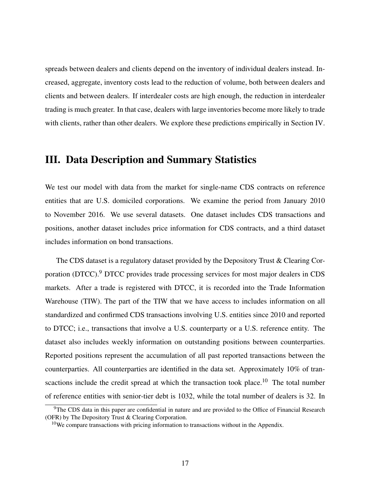spreads between dealers and clients depend on the inventory of individual dealers instead. Increased, aggregate, inventory costs lead to the reduction of volume, both between dealers and clients and between dealers. If interdealer costs are high enough, the reduction in interdealer trading is much greater. In that case, dealers with large inventories become more likely to trade with clients, rather than other dealers. We explore these predictions empirically in Section IV.

# III. Data Description and Summary Statistics

We test our model with data from the market for single-name CDS contracts on reference entities that are U.S. domiciled corporations. We examine the period from January 2010 to November 2016. We use several datasets. One dataset includes CDS transactions and positions, another dataset includes price information for CDS contracts, and a third dataset includes information on bond transactions.

The CDS dataset is a regulatory dataset provided by the Depository Trust & Clearing Corporation (DTCC).<sup>9</sup> DTCC provides trade processing services for most major dealers in CDS markets. After a trade is registered with DTCC, it is recorded into the Trade Information Warehouse (TIW). The part of the TIW that we have access to includes information on all standardized and confirmed CDS transactions involving U.S. entities since 2010 and reported to DTCC; i.e., transactions that involve a U.S. counterparty or a U.S. reference entity. The dataset also includes weekly information on outstanding positions between counterparties. Reported positions represent the accumulation of all past reported transactions between the counterparties. All counterparties are identified in the data set. Approximately 10% of transcactions include the credit spread at which the transaction took place.<sup>10</sup> The total number of reference entities with senior-tier debt is 1032, while the total number of dealers is 32. In

<sup>&</sup>lt;sup>9</sup>The CDS data in this paper are confidential in nature and are provided to the Office of Financial Research (OFR) by The Depository Trust & Clearing Corporation.

<sup>&</sup>lt;sup>10</sup>We compare transactions with pricing information to transactions without in the Appendix.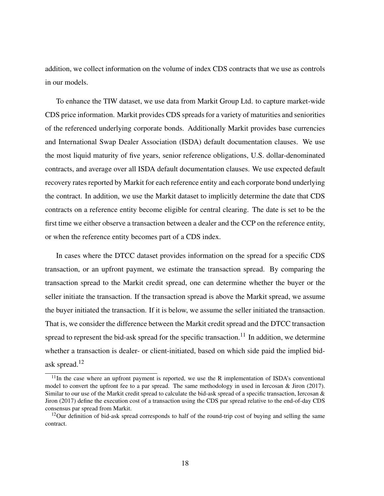addition, we collect information on the volume of index CDS contracts that we use as controls in our models.

To enhance the TIW dataset, we use data from Markit Group Ltd. to capture market-wide CDS price information. Markit provides CDS spreads for a variety of maturities and seniorities of the referenced underlying corporate bonds. Additionally Markit provides base currencies and International Swap Dealer Association (ISDA) default documentation clauses. We use the most liquid maturity of five years, senior reference obligations, U.S. dollar-denominated contracts, and average over all ISDA default documentation clauses. We use expected default recovery rates reported by Markit for each reference entity and each corporate bond underlying the contract. In addition, we use the Markit dataset to implicitly determine the date that CDS contracts on a reference entity become eligible for central clearing. The date is set to be the first time we either observe a transaction between a dealer and the CCP on the reference entity, or when the reference entity becomes part of a CDS index.

In cases where the DTCC dataset provides information on the spread for a specific CDS transaction, or an upfront payment, we estimate the transaction spread. By comparing the transaction spread to the Markit credit spread, one can determine whether the buyer or the seller initiate the transaction. If the transaction spread is above the Markit spread, we assume the buyer initiated the transaction. If it is below, we assume the seller initiated the transaction. That is, we consider the difference between the Markit credit spread and the DTCC transaction spread to represent the bid-ask spread for the specific transaction.<sup>11</sup> In addition, we determine whether a transaction is dealer- or client-initiated, based on which side paid the implied bidask spread.<sup>12</sup>

 $11$ In the case where an upfront payment is reported, we use the R implementation of ISDA's conventional model to convert the upfront fee to a par spread. The same methodology in used in Iercosan & Jiron (2017). Similar to our use of the Markit credit spread to calculate the bid-ask spread of a specific transaction, Iercosan  $\&$ Jiron (2017) define the execution cost of a transaction using the CDS par spread relative to the end-of-day CDS consensus par spread from Markit.

 $12$ Our definition of bid-ask spread corresponds to half of the round-trip cost of buying and selling the same contract.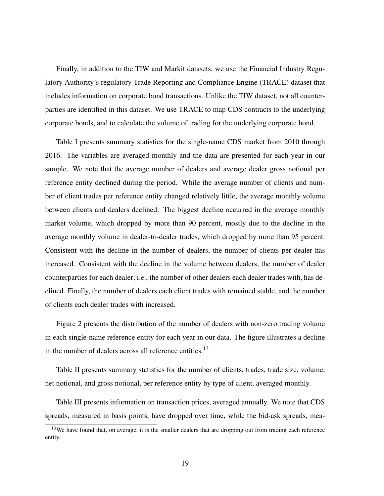Finally, in addition to the TIW and Markit datasets, we use the Financial Industry Regulatory Authority's regulatory Trade Reporting and Compliance Engine (TRACE) dataset that includes information on corporate bond transactions. Unlike the TIW dataset, not all counterparties are identified in this dataset. We use TRACE to map CDS contracts to the underlying corporate bonds, and to calculate the volume of trading for the underlying corporate bond.

Table I presents summary statistics for the single-name CDS market from 2010 through 2016. The variables are averaged monthly and the data are presented for each year in our sample. We note that the average number of dealers and average dealer gross notional per reference entity declined during the period. While the average number of clients and number of client trades per reference entity changed relatively little, the average monthly volume between clients and dealers declined. The biggest decline occurred in the average monthly market volume, which dropped by more than 90 percent, mostly due to the decline in the average monthly volume in dealer-to-dealer trades, which dropped by more than 95 percent. Consistent with the decline in the number of dealers, the number of clients per dealer has increased. Consistent with the decline in the volume between dealers, the number of dealer counterparties for each dealer; i.e., the number of other dealers each dealer trades with, has declined. Finally, the number of dealers each client trades with remained stable, and the number of clients each dealer trades with increased.

Figure 2 presents the distribution of the number of dealers with non-zero trading volume in each single-name reference entity for each year in our data. The figure illustrates a decline in the number of dealers across all reference entities.<sup>13</sup>

Table II presents summary statistics for the number of clients, trades, trade size, volume, net notional, and gross notional, per reference entity by type of client, averaged monthly.

Table III presents information on transaction prices, averaged annually. We note that CDS spreads, measured in basis points, have dropped over time, while the bid-ask spreads, mea-

<sup>&</sup>lt;sup>13</sup>We have found that, on average, it is the smaller dealers that are dropping out from trading each reference entity.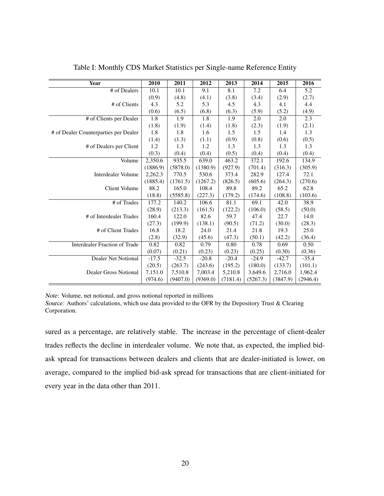| Year                                  | 2010     | 2011     | 2012     | 2013     | 2014     | 2015     | 2016     |
|---------------------------------------|----------|----------|----------|----------|----------|----------|----------|
| # of Dealers                          | 10.1     | 10.1     | 9.1      | 8.1      | 7.2      | 6.4      | 5.2      |
|                                       | (0.9)    | (4.8)    | (4.1)    | (3.8)    | (3.4)    | (2.9)    | (2.7)    |
| # of Clients                          | 4.3      | 5.2      | 5.3      | 4.5      | 4.3      | 4.1      | 4.4      |
|                                       | (0.6)    | (6.5)    | (6.8)    | (6.3)    | (5.9)    | (5.2)    | (4.9)    |
| # of Clients per Dealer               | 1.8      | 1.9      | 1.8      | 1.9      | 2.0      | 2.0      | 2.3      |
|                                       | (1.8)    | (1.9)    | (1.4)    | (1.8)    | (2.3)    | (1.9)    | (2.1)    |
| # of Dealer Counterparties per Dealer | 1.8      | 1.8      | 1.6      | 1.5      | 1.5      | 1.4      | 1.3      |
|                                       | (1.4)    | (1.3)    | (1.1)    | (0.9)    | (0.8)    | (0.6)    | (0.5)    |
| # of Dealers per Client               | 1.2      | 1.3      | 1.2      | 1.3      | 1.3      | 1.3      | 1.3      |
|                                       | (0.3)    | (0.4)    | (0.4)    | (0.5)    | (0.4)    | (0.4)    | (0.4)    |
| Volume                                | 2,350.6  | 935.5    | 639.0    | 463.2    | 372.1    | 192.6    | 134.9    |
|                                       | (1886.9) | (5878.0) | (1380.9) | (927.9)  | (701.4)  | (316.3)  | (305.9)  |
| Interdealer Volume                    | 2,262.3  | 770.5    | 530.6    | 373.4    | 282.9    | 127.4    | 72.1     |
|                                       | (1885.4) | (1761.5) | (1267.2) | (826.5)  | (605.6)  | (264.3)  | (270.6)  |
| <b>Client Volume</b>                  | 88.2     | 165.0    | 108.4    | 89.8     | 89.2     | 65.2     | 62.8     |
|                                       | (18.8)   | (5585.8) | (227.3)  | (179.2)  | (174.6)  | (108.8)  | (103.6)  |
| # of Trades                           | 177.2    | 140.2    | 106.6    | 81.1     | 69.1     | 42.0     | 38.9     |
|                                       | (28.9)   | (213.3)  | (161.5)  | (122.2)  | (106.0)  | (58.5)   | (50.0)   |
| # of Interdealer Trades               | 160.4    | 122.0    | 82.6     | 59.7     | 47.4     | 22.7     | 14.0     |
|                                       | (27.3)   | (199.9)  | (138.1)  | (90.5)   | (71.2)   | (30.0)   | (28.3)   |
| # of Client Trades                    | 16.8     | 18.2     | 24.0     | 21.4     | 21.8     | 19.3     | 25.0     |
|                                       | (2.8)    | (32.9)   | (45.6)   | (47.3)   | (50.1)   | (42.2)   | (36.4)   |
| Interdealer Fraction of Trade         | 0.82     | 0.82     | 0.79     | 0.80     | 0.78     | 0.69     | 0.50     |
|                                       | (0.07)   | (0.21)   | (0.23)   | (0.23)   | (0.25)   | (0.30)   | (0.36)   |
| Dealer Net Notional                   | $-17.5$  | $-32.5$  | $-20.8$  | $-20.4$  | $-24.9$  | $-42.7$  | $-35.4$  |
|                                       | (20.5)   | (263.7)  | (243.6)  | (195.2)  | (180.0)  | (133.7)  | (101.1)  |
| Dealer Gross Notional                 | 7,151.0  | 7,510.8  | 7,003.4  | 5,210.8  | 3,649.6  | 2,716.0  | 1,962.4  |
|                                       | (974.6)  | (9407.0) | (9369.0) | (7181.4) | (5267.3) | (3847.9) | (2946.4) |

Table I: Monthly CDS Market Statistics per Single-name Reference Entity

Note: Volume, net notional, and gross notional reported in millions

Source: Authors' calculations, which use data provided to the OFR by the Depository Trust & Clearing Corporation.

sured as a percentage, are relatively stable. The increase in the percentage of client-dealer trades reflects the decline in interdealer volume. We note that, as expected, the implied bidask spread for transactions between dealers and clients that are dealer-initiated is lower, on average, compared to the implied bid-ask spread for transactions that are client-initiated for every year in the data other than 2011.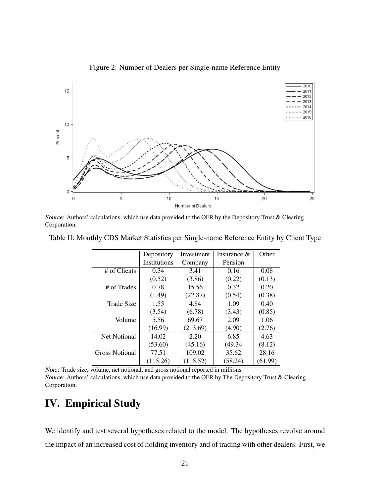

Figure 2: Number of Dealers per Single-name Reference Entity

Source: Authors' calculations, which use data provided to the OFR by the Depository Trust  $&$  Clearing Corporation.

| Table II: Monthly CDS Market Statistics per Single-name Reference Entity by Client Type |  |  |
|-----------------------------------------------------------------------------------------|--|--|
|                                                                                         |  |  |

|                       | Depository   | Investment | Insurance $\&$ | Other   |
|-----------------------|--------------|------------|----------------|---------|
|                       | Institutions | Company    | Pension        |         |
| # of Clients          | 0.34         | 3.41       | 0.16           | 0.08    |
|                       | (0.52)       | (3.86)     | (0.22)         | (0.13)  |
| # of Trades           | 0.78         | 15.56      | 0.32           | 0.20    |
|                       | (1.49)       | (22.87)    | (0.54)         | (0.38)  |
| <b>Trade Size</b>     | 1.55         | 4.84       | 1.09           | 0.40    |
|                       | (3.54)       | (6.78)     | (3.43)         | (0.85)  |
| Volume                | 5.56         | 69.67      | 2.09           | 1.06    |
|                       | (16.99)      | (213.69)   | (4.90)         | (2.76)  |
| Net Notional          | 14.02        | 2.20       | 6.85           | 4.63    |
|                       | (53.60)      | (45.16)    | (49.34)        | (8.12)  |
| <b>Gross Notional</b> | 77.51        | 109.02     | 35.62          | 28.16   |
|                       | (115.26)     | (115.52)   | (58.24)        | (61.99) |

Note: Trade size, volume, net notional, and gross notional reported in millions Source: Authors' calculations, which use data provided to the OFR by The Depository Trust & Clearing Corporation.

# IV. Empirical Study

We identify and test several hypotheses related to the model. The hypotheses revolve around the impact of an increased cost of holding inventory and of trading with other dealers. First, we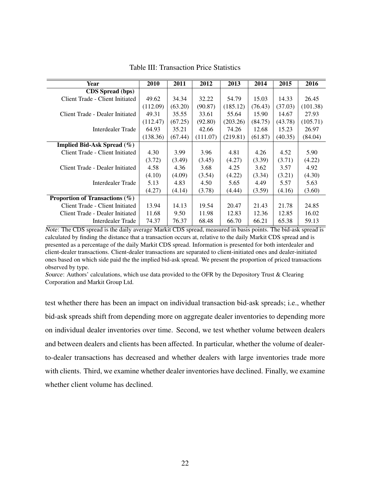| Year                              | 2010     | 2011    | 2012     | 2013     | 2014    | 2015    | 2016     |
|-----------------------------------|----------|---------|----------|----------|---------|---------|----------|
| <b>CDS</b> Spread (bps)           |          |         |          |          |         |         |          |
| Client Trade - Client Initiated   | 49.62    | 34.34   | 32.22    | 54.79    | 15.03   | 14.33   | 26.45    |
|                                   | (112.09) | (63.20) | (90.87)  | (185.12) | (76.43) | (37.03) | (101.38) |
| Client Trade - Dealer Initiated   | 49.31    | 35.55   | 33.61    | 55.64    | 15.90   | 14.67   | 27.93    |
|                                   | (112.47) | (67.25) | (92.80)  | (203.26) | (84.75) | (43.78) | (105.71) |
| Interdealer Trade                 | 64.93    | 35.21   | 42.66    | 74.26    | 12.68   | 15.23   | 26.97    |
|                                   | (138.36) | (67.44) | (111.07) | (219.81) | (61.87) | (40.35) | (84.04)  |
| Implied Bid-Ask Spread $(\%)$     |          |         |          |          |         |         |          |
| Client Trade - Client Initiated   | 4.30     | 3.99    | 3.96     | 4.81     | 4.26    | 4.52    | 5.90     |
|                                   | (3.72)   | (3.49)  | (3.45)   | (4.27)   | (3.39)  | (3.71)  | (4.22)   |
| Client Trade - Dealer Initiated   | 4.58     | 4.36    | 3.68     | 4.25     | 3.62    | 3.57    | 4.92     |
|                                   | (4.10)   | (4.09)  | (3.54)   | (4.22)   | (3.34)  | (3.21)  | (4.30)   |
| Interdealer Trade                 | 5.13     | 4.83    | 4.50     | 5.65     | 4.49    | 5.57    | 5.63     |
|                                   | (4.27)   | (4.14)  | (3.78)   | (4.44)   | (3.59)  | (4.16)  | (3.60)   |
| Proportion of Transactions $(\%)$ |          |         |          |          |         |         |          |
| Client Trade - Client Initiated   | 13.94    | 14.13   | 19.54    | 20.47    | 21.43   | 21.78   | 24.85    |
| Client Trade - Dealer Initiated   | 11.68    | 9.50    | 11.98    | 12.83    | 12.36   | 12.85   | 16.02    |
| Interdealer Trade                 | 74.37    | 76.37   | 68.48    | 66.70    | 66.21   | 65.38   | 59.13    |

Table III: Transaction Price Statistics

Note: The CDS spread is the daily average Markit CDS spread, measured in basis points. The bid-ask spread is calculated by finding the distance that a transaction occurs at, relative to the daily Markit CDS spread and is presented as a percentage of the daily Markit CDS spread. Information is presented for both interdealer and client-dealer transactions. Client-dealer transactions are separated to client-initiated ones and dealer-initiated ones based on which side paid the the implied bid-ask spread. We present the proportion of priced transactions observed by type.

Source: Authors' calculations, which use data provided to the OFR by the Depository Trust & Clearing Corporation and Markit Group Ltd.

test whether there has been an impact on individual transaction bid-ask spreads; i.e., whether bid-ask spreads shift from depending more on aggregate dealer inventories to depending more on individual dealer inventories over time. Second, we test whether volume between dealers and between dealers and clients has been affected. In particular, whether the volume of dealerto-dealer transactions has decreased and whether dealers with large inventories trade more with clients. Third, we examine whether dealer inventories have declined. Finally, we examine whether client volume has declined.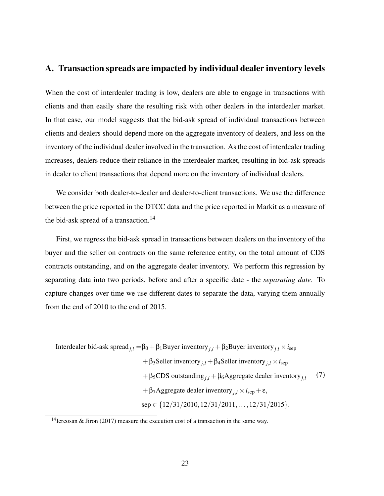### A. Transaction spreads are impacted by individual dealer inventory levels

When the cost of interdealer trading is low, dealers are able to engage in transactions with clients and then easily share the resulting risk with other dealers in the interdealer market. In that case, our model suggests that the bid-ask spread of individual transactions between clients and dealers should depend more on the aggregate inventory of dealers, and less on the inventory of the individual dealer involved in the transaction. As the cost of interdealer trading increases, dealers reduce their reliance in the interdealer market, resulting in bid-ask spreads in dealer to client transactions that depend more on the inventory of individual dealers.

We consider both dealer-to-dealer and dealer-to-client transactions. We use the difference between the price reported in the DTCC data and the price reported in Markit as a measure of the bid-ask spread of a transaction.<sup>14</sup>

First, we regress the bid-ask spread in transactions between dealers on the inventory of the buyer and the seller on contracts on the same reference entity, on the total amount of CDS contracts outstanding, and on the aggregate dealer inventory. We perform this regression by separating data into two periods, before and after a specific date - the *separating date*. To capture changes over time we use different dates to separate the data, varying them annually from the end of 2010 to the end of 2015.

Interdealer bid-ask spread<sub>*j*</sub>, $l = \beta_0 + \beta_1$ Buyer inventory<sub>*j*,*l*</sub> +  $\beta_2$ Buyer inventory<sub>*j*,*l*</sub> × *i*<sub>sep</sub> +β3Seller inventory*j*,*<sup>l</sup>* +β4Seller inventory*j*,*<sup>l</sup>* ×*i*sep + $\beta$ <sub>5</sub>CDS outstanding<sub>*i*,*l*</sub> + $\beta$ <sub>6</sub>Aggregate dealer inventory<sub>*j*,*l*</sub> + $\beta_7$ Aggregate dealer inventory<sub>*j*,*l*</sub> × *i*<sub>sep</sub> +  $\varepsilon$ , sep ∈ {12/31/2010,12/31/2011,...,12/31/2015}. (7)

<sup>&</sup>lt;sup>14</sup>Iercosan & Jiron (2017) measure the execution cost of a transaction in the same way.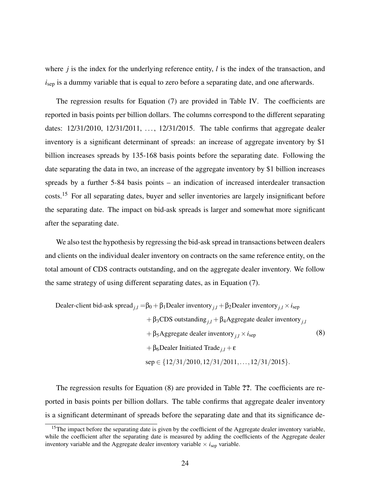where *j* is the index for the underlying reference entity, *l* is the index of the transaction, and *i*<sub>sep</sub> is a dummy variable that is equal to zero before a separating date, and one afterwards.

The regression results for Equation (7) are provided in Table IV. The coefficients are reported in basis points per billion dollars. The columns correspond to the different separating dates:  $12/31/2010$ ,  $12/31/2011$ , ...,  $12/31/2015$ . The table confirms that aggregate dealer inventory is a significant determinant of spreads: an increase of aggregate inventory by \$1 billion increases spreads by 135-168 basis points before the separating date. Following the date separating the data in two, an increase of the aggregate inventory by \$1 billion increases spreads by a further 5-84 basis points – an indication of increased interdealer transaction costs.<sup>15</sup> For all separating dates, buyer and seller inventories are largely insignificant before the separating date. The impact on bid-ask spreads is larger and somewhat more significant after the separating date.

We also test the hypothesis by regressing the bid-ask spread in transactions between dealers and clients on the individual dealer inventory on contracts on the same reference entity, on the total amount of CDS contracts outstanding, and on the aggregate dealer inventory. We follow the same strategy of using different separating dates, as in Equation (7).

Dealer-client bid-ask spread<sub>*j*,*l*</sub> = $\beta_0 + \beta_1$ Dealer inventory<sub>*j*,*l*</sub> +  $\beta_2$ Dealer inventory<sub>*j*,*l*</sub> × *i*<sub>sep</sub> +  $\beta$ <sub>3</sub>CDS outstanding<sub>*j*,*l*</sub> +  $\beta$ <sub>4</sub>Aggregate dealer inventory<sub>*j*,*l*</sub> + $\beta_5$ Aggregate dealer inventory<sub>*i*,*l* × *i*<sub>sep</sub></sub>  $+ \beta_6$ Dealer Initiated Trade  $i, l + \varepsilon$ sep  $\in \{12/31/2010, 12/31/2011, \ldots, 12/31/2015\}.$ (8)

The regression results for Equation (8) are provided in Table ??. The coefficients are reported in basis points per billion dollars. The table confirms that aggregate dealer inventory is a significant determinant of spreads before the separating date and that its significance de-

<sup>&</sup>lt;sup>15</sup>The impact before the separating date is given by the coefficient of the Aggregate dealer inventory variable, while the coefficient after the separating date is measured by adding the coefficients of the Aggregate dealer inventory variable and the Aggregate dealer inventory variable  $\times i_{\text{sep}}$  variable.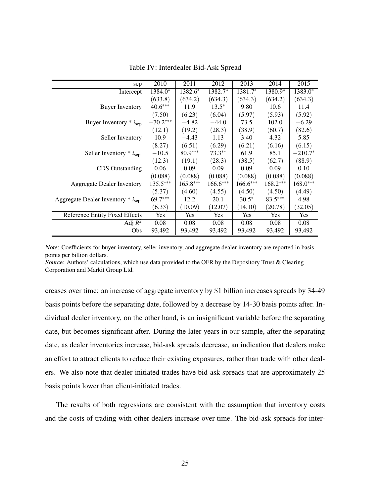| sep                                      | 2010       | 2011       | 2012       | 2013       | 2014       | 2015       |
|------------------------------------------|------------|------------|------------|------------|------------|------------|
| Intercept                                | 1384.0*    | 1382.6*    | 1382.7*    | 1381.7*    | 1380.9*    | 1383.0*    |
|                                          | (633.8)    | (634.2)    | (634.3)    | (634.3)    | (634.2)    | (634.3)    |
| <b>Buyer Inventory</b>                   | $40.6***$  | 11.9       | $13.5*$    | 9.80       | 10.6       | 11.4       |
|                                          | (7.50)     | (6.23)     | (6.04)     | (5.97)     | (5.93)     | (5.92)     |
| Buyer Inventory $*$ $i_{sep}$            | $-70.2***$ | $-4.82$    | $-44.0$    | 73.5       | 102.0      | $-6.29$    |
|                                          | (12.1)     | (19.2)     | (28.3)     | (38.9)     | (60.7)     | (82.6)     |
| Seller Inventory                         | 10.9       | $-4.43$    | 1.13       | 3.40       | 4.32       | 5.85       |
|                                          | (8.27)     | (6.51)     | (6.29)     | (6.21)     | (6.16)     | (6.15)     |
| Seller Inventory $*$ $i_{sep}$           | $-10.5$    | $80.9***$  | $73.3**$   | 61.9       | 85.1       | $-210.7*$  |
|                                          | (12.3)     | (19.1)     | (28.3)     | (38.5)     | (62.7)     | (88.9)     |
| <b>CDS</b> Outstanding                   | 0.06       | 0.09       | 0.09       | 0.09       | 0.09       | 0.10       |
|                                          | (0.088)    | (0.088)    | (0.088)    | (0.088)    | (0.088)    | (0.088)    |
| <b>Aggregate Dealer Inventory</b>        | $135.5***$ | $165.8***$ | $166.6***$ | $166.6***$ | $168.2***$ | $168.0***$ |
|                                          | (5.37)     | (4.60)     | (4.55)     | (4.50)     | (4.50)     | (4.49)     |
| Aggregate Dealer Inventory $*$ $i_{sep}$ | 69.7***    | 12.2       | 20.1       | $30.5*$    | $83.5***$  | 4.98       |
|                                          | (6.33)     | (10.09)    | (12.07)    | (14.10)    | (20.78)    | (32.05)    |
| Reference Entity Fixed Effects           | Yes        | Yes        | Yes        | Yes        | Yes        | Yes        |
| Adj $R^2$                                | 0.08       | 0.08       | 0.08       | 0.08       | 0.08       | 0.08       |
| Obs                                      | 93,492     | 93,492     | 93,492     | 93,492     | 93,492     | 93,492     |

Table IV: Interdealer Bid-Ask Spread

Note: Coefficients for buyer inventory, seller inventory, and aggregate dealer inventory are reported in basis points per billion dollars.

Source: Authors' calculations, which use data provided to the OFR by the Depository Trust & Clearing Corporation and Markit Group Ltd.

creases over time: an increase of aggregate inventory by \$1 billion increases spreads by 34-49 basis points before the separating date, followed by a decrease by 14-30 basis points after. Individual dealer inventory, on the other hand, is an insignificant variable before the separating date, but becomes significant after. During the later years in our sample, after the separating date, as dealer inventories increase, bid-ask spreads decrease, an indication that dealers make an effort to attract clients to reduce their existing exposures, rather than trade with other dealers. We also note that dealer-initiated trades have bid-ask spreads that are approximately 25 basis points lower than client-initiated trades.

The results of both regressions are consistent with the assumption that inventory costs and the costs of trading with other dealers increase over time. The bid-ask spreads for inter-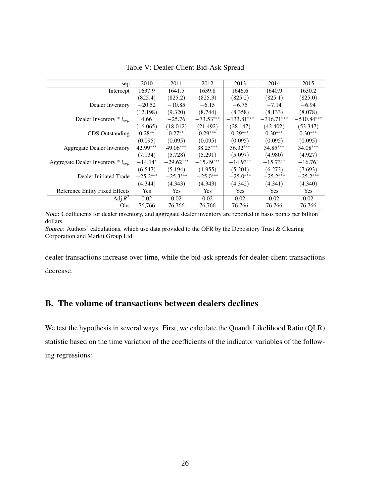| sep                                      | 2010       | 2011        | 2012        | 2013         | 2014         | 2015         |
|------------------------------------------|------------|-------------|-------------|--------------|--------------|--------------|
| Intercept                                | 1637.9     | 1641.5      | 1639.8      | 1646.6       | 1640.9       | 1630.2       |
|                                          | (825.4)    | (825.2)     | (825.3)     | (825.2)      | (825.1)      | (825.0)      |
| Dealer Inventory                         | $-20.52$   | $-10.85$    | $-6.15$     | $-6.75$      | $-7.14$      | $-6.94$      |
|                                          | (12.198)   | (9.320)     | (8.744)     | (8.358)      | (8.133)      | (8.078)      |
| Dealer Inventory $*$ $i_{sep}$           | 4.66       | $-25.76$    | $-73.53***$ | $-133.81***$ | $-316.71***$ | $-510.84***$ |
|                                          | (16.065)   | (18.012)    | (21.492)    | (28.147)     | (42.402)     | (53.347)     |
| <b>CDS</b> Outstanding                   | $0.28**$   | $0.27**$    | $0.29***$   | $0.29***$    | $0.30***$    | $0.30***$    |
|                                          | (0.095)    | (0.095)     | (0.095)     | (0.095)      | (0.095)      | (0.095)      |
| <b>Aggregate Dealer Inventory</b>        | 42.99***   | 49.06***    | $38.25***$  | $36.32***$   | 34.85***     | $34.08***$   |
|                                          | (7.134)    | (5.728)     | (5.291)     | (5.097)      | (4.980)      | (4.927)      |
| Aggregate Dealer Inventory $*$ $i_{sep}$ | $-14.14*$  | $-29.62***$ | $-15.49***$ | $-14.93**$   | $-15.73**$   | $-16.76*$    |
|                                          | (6.547)    | (5.194)     | (4.955)     | (5.201)      | (6.273)      | (7.693)      |
| Dealer Initiated Trade                   | $-25.2***$ | $-25.3***$  | $-25.0***$  | $-25.0***$   | $-25.2***$   | $-25.2***$   |
|                                          | (4.344)    | (4.343)     | (4.343)     | (4.342)      | (4.341)      | (4.340)      |
| Reference Entity Fixed Effects           | Yes        | Yes         | Yes         | Yes          | Yes          | Yes          |
| Adj $R^2$                                | 0.02       | 0.02        | 0.02        | 0.02         | 0.02         | 0.02         |
| Obs                                      | 76,766     | 76,766      | 76,766      | 76,766       | 76,766       | 76,766       |

Table V: Dealer-Client Bid-Ask Spread

Note: Coefficients for dealer inventory, and aggregate dealer inventory are reported in basis points per billion dollars.

Source: Authors' calculations, which use data provided to the OFR by the Depository Trust & Clearing Corporation and Markit Group Ltd.

dealer transactions increase over time, while the bid-ask spreads for dealer-client transactions decrease.

# B. The volume of transactions between dealers declines

We test the hypothesis in several ways. First, we calculate the Quandt Likelihood Ratio (QLR) statistic based on the time variation of the coefficients of the indicator variables of the following regressions: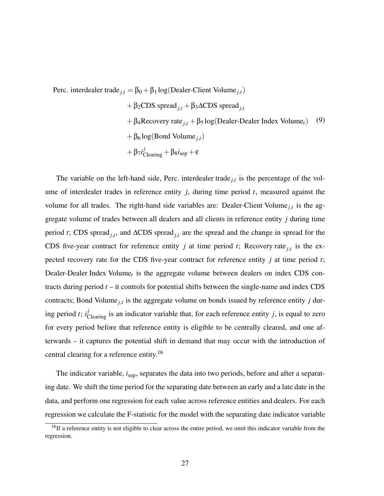Perc. interdealer trade  $j_{i,t} = \beta_0 + \beta_1 \log(\text{Dealer-Client Volume}_{j,t})$ 

+ 
$$
\beta_2
$$
CDS spread<sub>*j,t*</sub> +  $\beta_3$ ACDS spread<sub>*j,t*</sub>  
+  $\beta_4$ Recovery rate<sub>*j,t*</sub> +  $\beta_5$ log(Dealer-Dealer Index Volume<sub>*t*</sub>) (9)  
+  $\beta_6$ log(Bond Volume<sub>*j,t*</sub>)  
+  $\beta_7 i_{\text{Clearly}}^j + \beta_8 i_{\text{sep}} + \epsilon$ 

The variable on the left-hand side, Perc. interdealer trade  $j$ , is the percentage of the volume of interdealer trades in reference entity *j*, during time period *t*, measured against the volume for all trades. The right-hand side variables are: Dealer-Client Volume<sub>*j*,*t*</sub> is the aggregate volume of trades between all dealers and all clients in reference entity *j* during time period *t*; CDS spread*j*,*<sup>t</sup>* , and ∆CDS spread*j*,*<sup>t</sup>* are the spread and the change in spread for the CDS five-year contract for reference entity *j* at time period *t*; Recovery rate  $j$ , *t* is the expected recovery rate for the CDS five-year contract for reference entity *j* at time period *t*; Dealer-Dealer Index Volume*<sup>t</sup>* is the aggregate volume between dealers on index CDS contracts during period *t* – it controls for potential shifts between the single-name and index CDS contracts; Bond Volume<sub>*j*,*t*</sub> is the aggregate volume on bonds issued by reference entity *j* during period *t*;  $i_{\text{Clearly}}^j$  is an indicator variable that, for each reference entity *j*, is equal to zero for every period before that reference entity is eligible to be centrally cleared, and one afterwards – it captures the potential shift in demand that may occur with the introduction of central clearing for a reference entity.<sup>16</sup>

The indicator variable, *i*sep, separates the data into two periods, before and after a separating date. We shift the time period for the separating date between an early and a late date in the data, and perform one regression for each value across reference entities and dealers. For each regression we calculate the F-statistic for the model with the separating date indicator variable

 $16$ If a reference entity is not eligible to clear across the entire period, we omit this indicator variable from the regression.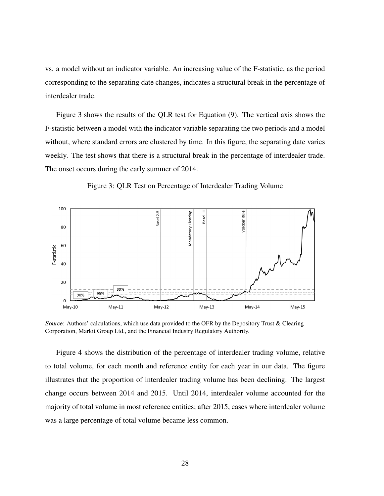vs. a model without an indicator variable. An increasing value of the F-statistic, as the period corresponding to the separating date changes, indicates a structural break in the percentage of interdealer trade.

Figure 3 shows the results of the QLR test for Equation (9). The vertical axis shows the F-statistic between a model with the indicator variable separating the two periods and a model without, where standard errors are clustered by time. In this figure, the separating date varies weekly. The test shows that there is a structural break in the percentage of interdealer trade. The onset occurs during the early summer of 2014.





Source: Authors' calculations, which use data provided to the OFR by the Depository Trust & Clearing Corporation, Markit Group Ltd., and the Financial Industry Regulatory Authority.

Figure 4 shows the distribution of the percentage of interdealer trading volume, relative to total volume, for each month and reference entity for each year in our data. The figure illustrates that the proportion of interdealer trading volume has been declining. The largest change occurs between 2014 and 2015. Until 2014, interdealer volume accounted for the majority of total volume in most reference entities; after 2015, cases where interdealer volume was a large percentage of total volume became less common.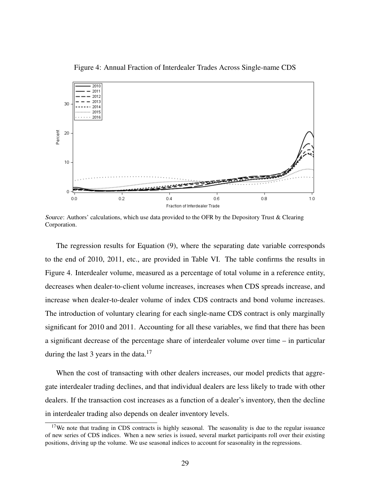Figure 4: Annual Fraction of Interdealer Trades Across Single-name CDS



Source: Authors' calculations, which use data provided to the OFR by the Depository Trust & Clearing Corporation.

The regression results for Equation (9), where the separating date variable corresponds to the end of 2010, 2011, etc., are provided in Table VI. The table confirms the results in Figure 4. Interdealer volume, measured as a percentage of total volume in a reference entity, decreases when dealer-to-client volume increases, increases when CDS spreads increase, and increase when dealer-to-dealer volume of index CDS contracts and bond volume increases. The introduction of voluntary clearing for each single-name CDS contract is only marginally significant for 2010 and 2011. Accounting for all these variables, we find that there has been a significant decrease of the percentage share of interdealer volume over time – in particular during the last 3 years in the data. $17$ 

When the cost of transacting with other dealers increases, our model predicts that aggregate interdealer trading declines, and that individual dealers are less likely to trade with other dealers. If the transaction cost increases as a function of a dealer's inventory, then the decline in interdealer trading also depends on dealer inventory levels.

<sup>&</sup>lt;sup>17</sup>We note that trading in CDS contracts is highly seasonal. The seasonality is due to the regular issuance of new series of CDS indices. When a new series is issued, several market participants roll over their existing positions, driving up the volume. We use seasonal indices to account for seasonality in the regressions.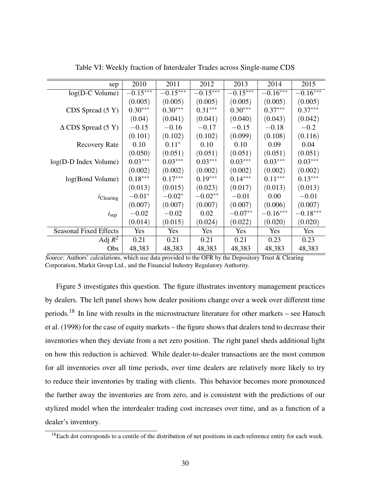| sep                           | 2010       | 2011        | 2012       | 2013       | 2014       | 2015       |
|-------------------------------|------------|-------------|------------|------------|------------|------------|
| $log(D-C$ Volume)             | $-0.15***$ | $-0.15$ *** | $-0.15***$ | $-0.15***$ | $-0.16***$ | $-0.16***$ |
|                               | (0.005)    | (0.005)     | (0.005)    | (0.005)    | (0.005)    | (0.005)    |
| CDS Spread (5 Y)              | $0.30***$  | $0.30***$   | $0.31***$  | $0.30***$  | $0.37***$  | $0.37***$  |
|                               | (0.04)     | (0.041)     | (0.041)    | (0.040)    | (0.043)    | (0.042)    |
| $\triangle$ CDS Spread (5 Y)  | $-0.15$    | $-0.16$     | $-0.17$    | $-0.15$    | $-0.18$    | $-0.2$     |
|                               | (0.101)    | (0.102)     | (0.102)    | (0.099)    | (0.108)    | (0.116)    |
| <b>Recovery Rate</b>          | 0.10       | $0.11*$     | 0.10       | 0.10       | 0.09       | 0.04       |
|                               | (0.050)    | (0.051)     | (0.051)    | (0.051)    | (0.051)    | (0.051)    |
| $log(D-D Index Volume)$       | $0.03***$  | $0.03***$   | $0.03***$  | $0.03***$  | $0.03***$  | $0.03***$  |
|                               | (0.002)    | (0.002)     | (0.002)    | (0.002)    | (0.002)    | (0.002)    |
| log(Bond Volume)              | $0.18***$  | $0.17***$   | $0.19***$  | $0.14***$  | $0.11***$  | $0.13***$  |
|                               | (0.013)    | (0.015)     | (0.023)    | (0.017)    | (0.013)    | (0.013)    |
| $l$ Clearing                  | $-0.01*$   | $-0.02*$    | $-0.02**$  | $-0.01$    | 0.00       | $-0.01$    |
|                               | (0.007)    | (0.007)     | (0.007)    | (0.007)    | (0.006)    | (0.007)    |
| l <sub>sep</sub>              | $-0.02$    | $-0.02$     | 0.02       | $-0.07**$  | $-0.16***$ | $-0.18***$ |
|                               | (0.014)    | (0.015)     | (0.024)    | (0.022)    | (0.020)    | (0.020)    |
| <b>Seasonal Fixed Effects</b> | Yes        | Yes         | Yes        | Yes        | Yes        | Yes        |
| Adj $R^2$                     | 0.21       | 0.21        | 0.21       | 0.21       | 0.23       | 0.23       |
| Obs                           | 48,383     | 48,383      | 48,383     | 48,383     | 48,383     | 48,383     |

Table VI: Weekly fraction of Interdealer Trades across Single-name CDS

Source: Authors' calculations, which use data provided to the OFR by the Depository Trust  $\&$  Clearing Corporation, Markit Group Ltd., and the Financial Industry Regulatory Authority.

Figure 5 investigates this question. The figure illustrates inventory management practices by dealers. The left panel shows how dealer positions change over a week over different time periods.<sup>18</sup> In line with results in the microstructure literature for other markets – see Hansch et al. (1998) for the case of equity markets – the figure shows that dealers tend to decrease their inventories when they deviate from a net zero position. The right panel sheds additional light on how this reduction is achieved. While dealer-to-dealer transactions are the most common for all inventories over all time periods, over time dealers are relatively more likely to try to reduce their inventories by trading with clients. This behavior becomes more pronounced the further away the inventories are from zero, and is consistent with the predictions of our stylized model when the interdealer trading cost increases over time, and as a function of a dealer's inventory.

 $18$ Each dot corresponds to a centile of the distribution of net positions in each reference entity for each week.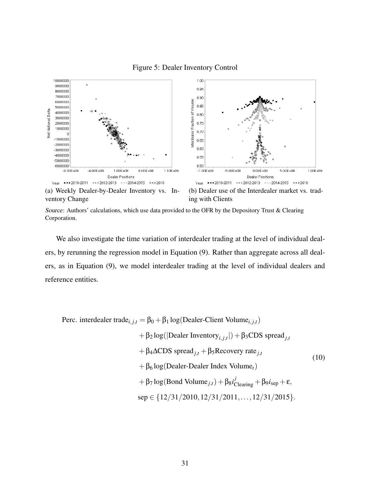



ventory Change



Source: Authors' calculations, which use data provided to the OFR by the Depository Trust & Clearing Corporation.

We also investigate the time variation of interdealer trading at the level of individual dealers, by rerunning the regression model in Equation (9). Rather than aggregate across all dealers, as in Equation (9), we model interdealer trading at the level of individual dealers and reference entities.

Perc. interdealer trade<sub>*i*</sub>,*j*,*t* =  $\beta_0 + \beta_1 \log(\text{Dealer-Client Volume}_{i,j,t})$ 

$$
+\beta_2 \log(|\text{Dealer Inventory}_{i,j,t}|) + \beta_3 \text{CDS spread}_{j,t}
$$
  
+ $\beta_4 \Delta \text{CDS spread}_{j,t} + \beta_5 \text{Recovery rate}_{j,t}$   
+ $\beta_6 \log(\text{Dealer-Dealer Index Volume}_t)$   
+ $\beta_7 \log(\text{Bond Volume}_{j,t}) + \beta_8 i_{\text{Clearly}}^j + \beta_9 i_{\text{sep}} + \varepsilon,$   
sep  $\in \{12/31/2010, 12/31/2011, ..., 12/31/2015\}.$  (10)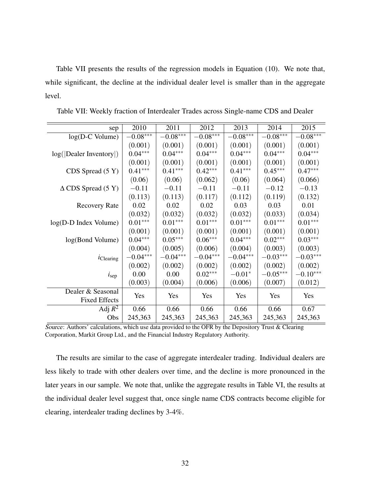Table VII presents the results of the regression models in Equation (10). We note that, while significant, the decline at the individual dealer level is smaller than in the aggregate level.

| sep                              | 2010       | 2011       | 2012       | 2013       | 2014       | 2015       |
|----------------------------------|------------|------------|------------|------------|------------|------------|
| log(D-C Volume)                  | $-0.08***$ | $-0.08***$ | $-0.08***$ | $-0.08***$ | $-0.08***$ | $-0.08***$ |
|                                  | (0.001)    | (0.001)    | (0.001)    | (0.001)    | (0.001)    | (0.001)    |
| $log( \text{Dealer Inventory} )$ | $0.04***$  | $0.04***$  | $0.04***$  | $0.04***$  | $0.04***$  | $0.04***$  |
|                                  | (0.001)    | (0.001)    | (0.001)    | (0.001)    | (0.001)    | (0.001)    |
| CDS Spread (5 Y)                 | $0.41***$  | $0.41***$  | $0.42***$  | $0.41***$  | $0.45***$  | $0.47***$  |
|                                  | (0.06)     | (0.06)     | (0.062)    | (0.06)     | (0.064)    | (0.066)    |
| $\triangle$ CDS Spread (5 Y)     | $-0.11$    | $-0.11$    | $-0.11$    | $-0.11$    | $-0.12$    | $-0.13$    |
|                                  | (0.113)    | (0.113)    | (0.117)    | (0.112)    | (0.119)    | (0.132)    |
| <b>Recovery Rate</b>             | 0.02       | 0.02       | 0.02       | 0.03       | 0.03       | 0.01       |
|                                  | (0.032)    | (0.032)    | (0.032)    | (0.032)    | (0.033)    | (0.034)    |
| $log(D-D Index Volume)$          | $0.01***$  | $0.01***$  | $0.01***$  | $0.01***$  | $0.01***$  | $0.01***$  |
|                                  | (0.001)    | (0.001)    | (0.001)    | (0.001)    | (0.001)    | (0.001)    |
| log(Bond Volume)                 | $0.04***$  | $0.05***$  | $0.06***$  | $0.04***$  | $0.02***$  | $0.03***$  |
|                                  | (0.004)    | (0.005)    | (0.006)    | (0.004)    | (0.003)    | (0.003)    |
| $l$ Clearing                     | $-0.04***$ | $-0.04***$ | $-0.04***$ | $-0.04***$ | $-0.03***$ | $-0.03***$ |
|                                  | (0.002)    | (0.002)    | (0.002)    | (0.002)    | (0.002)    | (0.002)    |
| l <sub>sep</sub>                 | 0.00       | 0.00       | $0.02***$  | $-0.01*$   | $-0.05***$ | $-0.10***$ |
|                                  | (0.003)    | (0.004)    | (0.006)    | (0.006)    | (0.007)    | (0.012)    |
| Dealer & Seasonal                | Yes        | Yes        | Yes        | Yes        | Yes        | Yes        |
| <b>Fixed Effects</b>             |            |            |            |            |            |            |
| Adj $R^2$                        | 0.66       | 0.66       | 0.66       | 0.66       | 0.66       | 0.67       |
| Obs                              | 245,363    | 245,363    | 245,363    | 245,363    | 245,363    | 245,363    |

|  |  |  | Table VII: Weekly fraction of Interdealer Trades across Single-name CDS and Dealer |
|--|--|--|------------------------------------------------------------------------------------|
|  |  |  |                                                                                    |

Source: Authors' calculations, which use data provided to the OFR by the Depository Trust & Clearing Corporation, Markit Group Ltd., and the Financial Industry Regulatory Authority.

The results are similar to the case of aggregate interdealer trading. Individual dealers are less likely to trade with other dealers over time, and the decline is more pronounced in the later years in our sample. We note that, unlike the aggregate results in Table VI, the results at the individual dealer level suggest that, once single name CDS contracts become eligible for clearing, interdealer trading declines by 3-4%.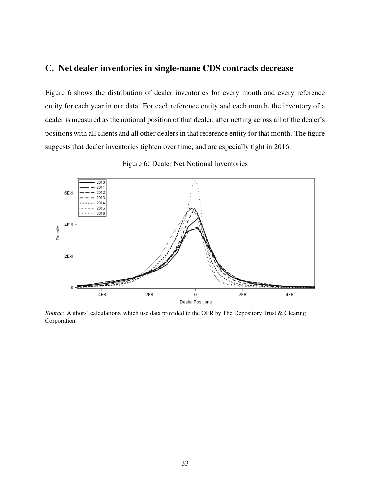# C. Net dealer inventories in single-name CDS contracts decrease

Figure 6 shows the distribution of dealer inventories for every month and every reference entity for each year in our data. For each reference entity and each month, the inventory of a dealer is measured as the notional position of that dealer, after netting across all of the dealer's positions with all clients and all other dealers in that reference entity for that month. The figure suggests that dealer inventories tighten over time, and are especially tight in 2016.



Figure 6: Dealer Net Notional Inventories

Source: Authors' calculations, which use data provided to the OFR by The Depository Trust & Clearing Corporation.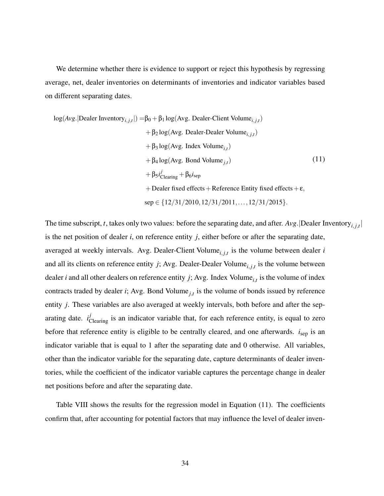We determine whether there is evidence to support or reject this hypothesis by regressing average, net, dealer inventories on determinants of inventories and indicator variables based on different separating dates.

$$
log(Avg, |Dealer Inventory_{i,j,t}|) = \beta_0 + \beta_1 log(Avg, Dealer-Client Volume_{i,j,t})
$$
  
+  $\beta_2 log(Avg, Dealer-Dealer Volume_{i,j,t})$   
+  $\beta_3 log(Avg, Index Volume_{i,t})$   
+  $\beta_4 log(Avg, Bond Volume_{j,t})$   
+  $\beta_5 i_{Clearly}^j + \beta_6 i_{sep}$   
+ Dealer fixed effects + Reference Entity fixed effects +  $\varepsilon$ ,  
 $sep \in \{12/31/2010, 12/31/2011, ..., 12/31/2015\}.$  (11)

The time subscript, *t*, takes only two values: before the separating date, and after. *Avg*.|Dealer Inventory*i*, *<sup>j</sup>*,*<sup>t</sup>* | is the net position of dealer *i*, on reference entity *j*, either before or after the separating date, averaged at weekly intervals. Avg. Dealer-Client Volume<sub>*i,j,t*</sub> is the volume between dealer *i* and all its clients on reference entity *j*; Avg. Dealer-Dealer Volume*i*, *<sup>j</sup>*,*<sup>t</sup>* is the volume between dealer *i* and all other dealers on reference entity *j*; Avg. Index Volume*i*,*<sup>t</sup>* is the volume of index contracts traded by dealer *i*; Avg. Bond Volume *<sup>j</sup>*,*<sup>t</sup>* is the volume of bonds issued by reference entity *j*. These variables are also averaged at weekly intervals, both before and after the separating date.  $i_{\text{Clearly}}^j$  is an indicator variable that, for each reference entity, is equal to zero before that reference entity is eligible to be centrally cleared, and one afterwards. *i*<sub>sep</sub> is an indicator variable that is equal to 1 after the separating date and 0 otherwise. All variables, other than the indicator variable for the separating date, capture determinants of dealer inventories, while the coefficient of the indicator variable captures the percentage change in dealer net positions before and after the separating date.

Table VIII shows the results for the regression model in Equation (11). The coefficients confirm that, after accounting for potential factors that may influence the level of dealer inven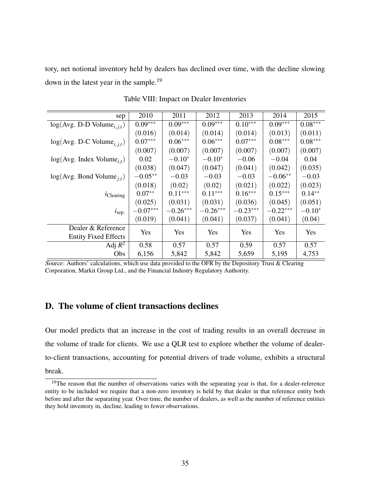tory, net notional inventory held by dealers has declined over time, with the decline slowing down in the latest year in the sample.<sup>19</sup>

| sep                            | 2010       | 2011       | 2012       | 2013       | 2014       | 2015      |
|--------------------------------|------------|------------|------------|------------|------------|-----------|
| $log(Avg. D-D Volume_{i,j,t})$ | $0.09***$  | $0.09***$  | $0.09***$  | $0.10***$  | $0.09***$  | $0.08***$ |
|                                | (0.016)    | (0.014)    | (0.014)    | (0.014)    | (0.013)    | (0.011)   |
| $log(Avg. D-C Volume_{i.i.t})$ | $0.07***$  | $0.06***$  | $0.06***$  | $0.07***$  | $0.08***$  | $0.08***$ |
|                                | (0.007)    | (0.007)    | (0.007)    | (0.007)    | (0.007)    | (0.007)   |
| $log(Avg. Index Volume_{i,t})$ | 0.02       | $-0.10*$   | $-0.10*$   | $-0.06$    | $-0.04$    | 0.04      |
|                                | (0.038)    | (0.047)    | (0.047)    | (0.041)    | (0.042)    | (0.035)   |
| $log(Avg. Bond Volume_{i,t})$  | $-0.05**$  | $-0.03$    | $-0.03$    | $-0.03$    | $-0.06**$  | $-0.03$   |
|                                | (0.018)    | (0.02)     | (0.02)     | (0.021)    | (0.022)    | (0.023)   |
| $i$ Clearing                   | $0.07**$   | $0.11***$  | $0.11***$  | $0.16***$  | $0.15***$  | $0.14**$  |
|                                | (0.025)    | (0.031)    | (0.031)    | (0.036)    | (0.045)    | (0.051)   |
| l <sub>sep</sub>               | $-0.07***$ | $-0.26***$ | $-0.26***$ | $-0.23***$ | $-0.22***$ | $-0.10*$  |
|                                | (0.019)    | (0.041)    | (0.041)    | (0.037)    | (0.041)    | (0.04)    |
| Dealer & Reference             | Yes        | <b>Yes</b> | Yes        | <b>Yes</b> | <b>Yes</b> | Yes       |
| <b>Entity Fixed Effects</b>    |            |            |            |            |            |           |
| Adj $R^2$                      | 0.58       | 0.57       | 0.57       | 0.59       | 0.57       | 0.57      |
| <b>Obs</b>                     | 6,156      | 5,842      | 5,842      | 5,659      | 5,195      | 4,753     |

Table VIII: Impact on Dealer Inventories

Source: Authors' calculations, which use data provided to the OFR by the Depository Trust  $& Clearing$ Corporation, Markit Group Ltd., and the Financial Industry Regulatory Authority.

# D. The volume of client transactions declines

Our model predicts that an increase in the cost of trading results in an overall decrease in the volume of trade for clients. We use a QLR test to explore whether the volume of dealerto-client transactions, accounting for potential drivers of trade volume, exhibits a structural break.

<sup>&</sup>lt;sup>19</sup>The reason that the number of observations varies with the separating year is that, for a dealer-reference entity to be included we require that a non-zero inventory is held by that dealer in that reference entity both before and after the separating year. Over time, the number of dealers, as well as the number of reference entities they hold inventory in, decline, leading to fewer observations.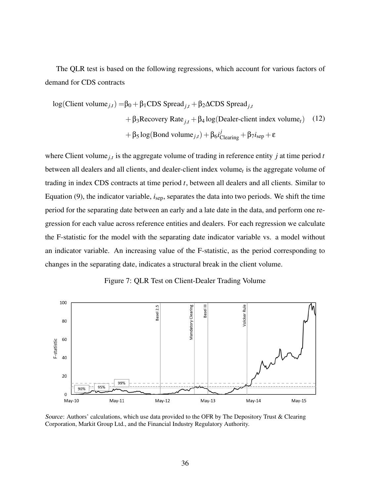The QLR test is based on the following regressions, which account for various factors of demand for CDS contracts

$$
\log(\text{Client volume}_{j,t}) = \beta_0 + \beta_1 \text{CDS }\text{Speed}_{j,t} + \beta_2 \Delta \text{CDS }\text{Speed}_{j,t}
$$
  
+  $\beta_3 \text{Recovery }\text{Rate}_{j,t} + \beta_4 \log(\text{Dealer-client index volume}_t)$  (12)  
+  $\beta_5 \log(\text{Bond volume}_{j,t}) + \beta_6 i_{\text{Clearly}}^j + \beta_7 i_{\text{sep}} + \varepsilon$ 

where Client volume  $_{j,t}$  is the aggregate volume of trading in reference entity  $j$  at time period  $t$ between all dealers and all clients, and dealer-client index volume<sub>t</sub> is the aggregate volume of trading in index CDS contracts at time period *t*, between all dealers and all clients. Similar to Equation (9), the indicator variable, *i*sep, separates the data into two periods. We shift the time period for the separating date between an early and a late date in the data, and perform one regression for each value across reference entities and dealers. For each regression we calculate the F-statistic for the model with the separating date indicator variable vs. a model without an indicator variable. An increasing value of the F-statistic, as the period corresponding to changes in the separating date, indicates a structural break in the client volume.

Figure 7: QLR Test on Client-Dealer Trading Volume



Source: Authors' calculations, which use data provided to the OFR by The Depository Trust & Clearing Corporation, Markit Group Ltd., and the Financial Industry Regulatory Authority.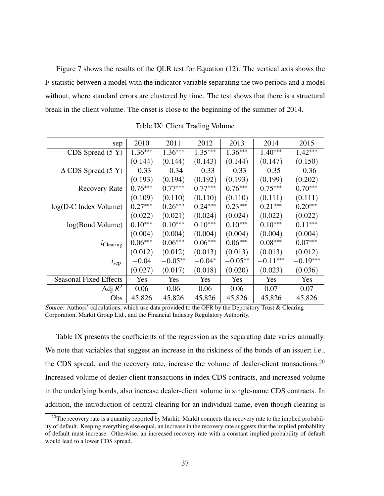Figure 7 shows the results of the QLR test for Equation (12). The vertical axis shows the F-statistic between a model with the indicator variable separating the two periods and a model without, where standard errors are clustered by time. The test shows that there is a structural break in the client volume. The onset is close to the beginning of the summer of 2014.

| sep                           | 2010      | 2011      | 2012      | 2013      | 2014       | 2015       |
|-------------------------------|-----------|-----------|-----------|-----------|------------|------------|
| CDS Spread (5 Y)              | $1.36***$ | $1.36***$ | $1.35***$ | $1.36***$ | $1.40***$  | $1.42***$  |
|                               | (0.144)   | (0.144)   | (0.143)   | (0.144)   | (0.147)    | (0.150)    |
| $\triangle$ CDS Spread (5 Y)  | $-0.33$   | $-0.34$   | $-0.33$   | $-0.33$   | $-0.35$    | $-0.36$    |
|                               | (0.193)   | (0.194)   | (0.192)   | (0.193)   | (0.199)    | (0.202)    |
| <b>Recovery Rate</b>          | $0.76***$ | $0.77***$ | $0.77***$ | $0.76***$ | $0.75***$  | $0.70***$  |
|                               | (0.109)   | (0.110)   | (0.110)   | (0.110)   | (0.111)    | (0.111)    |
| $log(D-C$ Index Volume)       | $0.27***$ | $0.26***$ | $0.24***$ | $0.23***$ | $0.21***$  | $0.20***$  |
|                               | (0.022)   | (0.021)   | (0.024)   | (0.024)   | (0.022)    | (0.022)    |
| log(Bond Volume)              | $0.10***$ | $0.10***$ | $0.10***$ | $0.10***$ | $0.10***$  | $0.11***$  |
|                               | (0.004)   | (0.004)   | (0.004)   | (0.004)   | (0.004)    | (0.004)    |
| $l$ Clearing                  | $0.06***$ | $0.06***$ | $0.06***$ | $0.06***$ | $0.08***$  | $0.07***$  |
|                               | (0.012)   | (0.012)   | (0.013)   | (0.013)   | (0.013)    | (0.012)    |
| i <sub>sep</sub>              | $-0.04$   | $-0.05**$ | $-0.04*$  | $-0.05**$ | $-0.11***$ | $-0.19***$ |
|                               | (0.027)   | (0.017)   | (0.018)   | (0.020)   | (0.023)    | (0.036)    |
| <b>Seasonal Fixed Effects</b> | Yes       | Yes       | Yes       | Yes       | Yes        | Yes        |
| Adj $R^2$                     | 0.06      | 0.06      | 0.06      | 0.06      | 0.07       | 0.07       |
| Obs                           | 45,826    | 45,826    | 45,826    | 45,826    | 45,826     | 45,826     |

Table IX: Client Trading Volume

 $\overline{Source:}$  Authors' calculations, which use data provided to the OFR by the Depository Trust & Clearing Corporation, Markit Group Ltd., and the Financial Industry Regulatory Authority.

Table IX presents the coefficients of the regression as the separating date varies annually. We note that variables that suggest an increase in the riskiness of the bonds of an issuer; i.e., the CDS spread, and the recovery rate, increase the volume of dealer-client transactions.<sup>20</sup> Increased volume of dealer-client transactions in index CDS contracts, and increased volume in the underlying bonds, also increase dealer-client volume in single-name CDS contracts. In addition, the introduction of central clearing for an individual name, even though clearing is

<sup>&</sup>lt;sup>20</sup>The recovery rate is a quantity reported by Markit. Markit connects the recovery rate to the implied probability of default. Keeping everything else equal, an increase in the recovery rate suggests that the implied probability of default must increase. Otherwise, an increased recovery rate with a constant implied probability of default would lead to a lower CDS spread.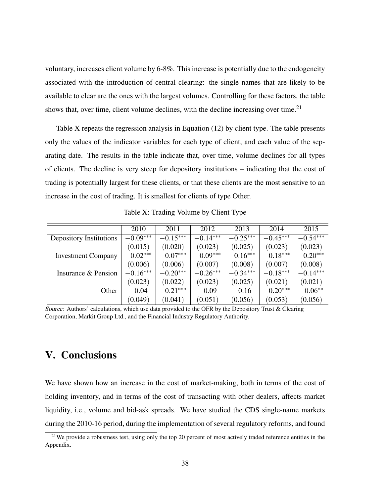voluntary, increases client volume by 6-8%. This increase is potentially due to the endogeneity associated with the introduction of central clearing: the single names that are likely to be available to clear are the ones with the largest volumes. Controlling for these factors, the table shows that, over time, client volume declines, with the decline increasing over time.<sup>21</sup>

Table X repeats the regression analysis in Equation (12) by client type. The table presents only the values of the indicator variables for each type of client, and each value of the separating date. The results in the table indicate that, over time, volume declines for all types of clients. The decline is very steep for depository institutions – indicating that the cost of trading is potentially largest for these clients, or that these clients are the most sensitive to an increase in the cost of trading. It is smallest for clients of type Other.

Table X: Trading Volume by Client Type

|                           | 2010       | 2011       | 2012       | 2013       | 2014       | 2015       |
|---------------------------|------------|------------|------------|------------|------------|------------|
| Depository Institutions   | $-0.09***$ | $-0.15***$ | $-0.14***$ | $-0.25***$ | $-0.45***$ | $-0.54***$ |
|                           | (0.015)    | (0.020)    | (0.023)    | (0.025)    | (0.023)    | (0.023)    |
| <b>Investment Company</b> | $-0.02***$ | $-0.07***$ | $-0.09***$ | $-0.16***$ | $-0.18***$ | $-0.20***$ |
|                           | (0.006)    | (0.006)    | (0.007)    | (0.008)    | (0.007)    | (0.008)    |
| Insurance & Pension       | $-0.16***$ | $-0.20***$ | $-0.26***$ | $-0.34***$ | $-0.18***$ | $-0.14***$ |
|                           | (0.023)    | (0.022)    | (0.023)    | (0.025)    | (0.021)    | (0.021)    |
| Other                     | $-0.04$    | $-0.21***$ | $-0.09$    | $-0.16$    | $-0.20***$ | $-0.06**$  |
|                           | (0.049)    | (0.041)    | (0.051)    | (0.056)    | (0.053)    | (0.056)    |

Source: Authors' calculations, which use data provided to the OFR by the Depository Trust  $\&$  Clearing Corporation, Markit Group Ltd., and the Financial Industry Regulatory Authority.

# V. Conclusions

We have shown how an increase in the cost of market-making, both in terms of the cost of holding inventory, and in terms of the cost of transacting with other dealers, affects market liquidity, i.e., volume and bid-ask spreads. We have studied the CDS single-name markets during the 2010-16 period, during the implementation of several regulatory reforms, and found

<sup>&</sup>lt;sup>21</sup>We provide a robustness test, using only the top 20 percent of most actively traded reference entities in the Appendix.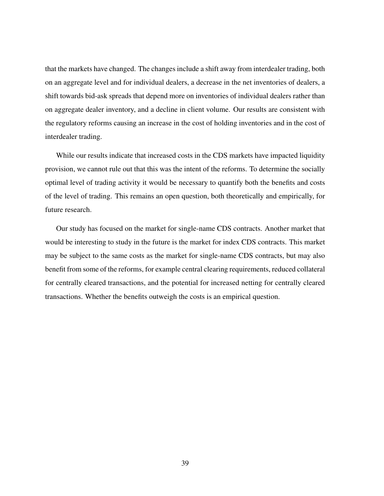that the markets have changed. The changes include a shift away from interdealer trading, both on an aggregate level and for individual dealers, a decrease in the net inventories of dealers, a shift towards bid-ask spreads that depend more on inventories of individual dealers rather than on aggregate dealer inventory, and a decline in client volume. Our results are consistent with the regulatory reforms causing an increase in the cost of holding inventories and in the cost of interdealer trading.

While our results indicate that increased costs in the CDS markets have impacted liquidity provision, we cannot rule out that this was the intent of the reforms. To determine the socially optimal level of trading activity it would be necessary to quantify both the benefits and costs of the level of trading. This remains an open question, both theoretically and empirically, for future research.

Our study has focused on the market for single-name CDS contracts. Another market that would be interesting to study in the future is the market for index CDS contracts. This market may be subject to the same costs as the market for single-name CDS contracts, but may also benefit from some of the reforms, for example central clearing requirements, reduced collateral for centrally cleared transactions, and the potential for increased netting for centrally cleared transactions. Whether the benefits outweigh the costs is an empirical question.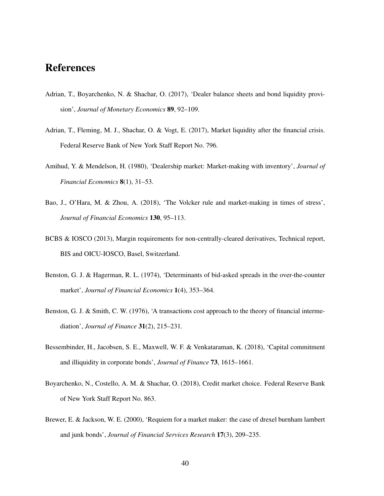# References

- Adrian, T., Boyarchenko, N. & Shachar, O. (2017), 'Dealer balance sheets and bond liquidity provision', *Journal of Monetary Economics* 89, 92–109.
- Adrian, T., Fleming, M. J., Shachar, O. & Vogt, E. (2017), Market liquidity after the financial crisis. Federal Reserve Bank of New York Staff Report No. 796.
- Amihud, Y. & Mendelson, H. (1980), 'Dealership market: Market-making with inventory', *Journal of Financial Economics* 8(1), 31–53.
- Bao, J., O'Hara, M. & Zhou, A. (2018), 'The Volcker rule and market-making in times of stress', *Journal of Financial Economics* 130, 95–113.
- BCBS & IOSCO (2013), Margin requirements for non-centrally-cleared derivatives, Technical report, BIS and OICU-IOSCO, Basel, Switzerland.
- Benston, G. J. & Hagerman, R. L. (1974), 'Determinants of bid-asked spreads in the over-the-counter market', *Journal of Financial Economics* 1(4), 353–364.
- Benston, G. J. & Smith, C. W. (1976), 'A transactions cost approach to the theory of financial intermediation', *Journal of Finance* 31(2), 215–231.
- Bessembinder, H., Jacobsen, S. E., Maxwell, W. F. & Venkataraman, K. (2018), 'Capital commitment and illiquidity in corporate bonds', *Journal of Finance* 73, 1615–1661.
- Boyarchenko, N., Costello, A. M. & Shachar, O. (2018), Credit market choice. Federal Reserve Bank of New York Staff Report No. 863.
- Brewer, E. & Jackson, W. E. (2000), 'Requiem for a market maker: the case of drexel burnham lambert and junk bonds', *Journal of Financial Services Research* 17(3), 209–235.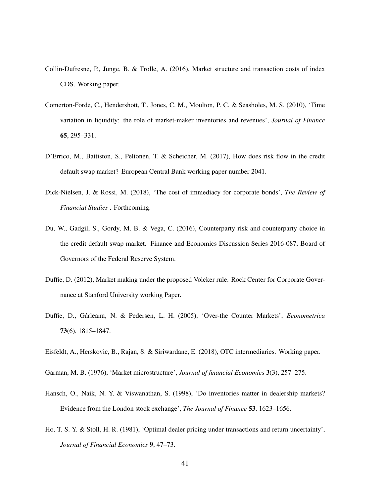- Collin-Dufresne, P., Junge, B. & Trolle, A. (2016), Market structure and transaction costs of index CDS. Working paper.
- Comerton-Forde, C., Hendershott, T., Jones, C. M., Moulton, P. C. & Seasholes, M. S. (2010), 'Time variation in liquidity: the role of market-maker inventories and revenues', *Journal of Finance* 65, 295–331.
- D'Errico, M., Battiston, S., Peltonen, T. & Scheicher, M. (2017), How does risk flow in the credit default swap market? European Central Bank working paper number 2041.
- Dick-Nielsen, J. & Rossi, M. (2018), 'The cost of immediacy for corporate bonds', *The Review of Financial Studies* . Forthcoming.
- Du, W., Gadgil, S., Gordy, M. B. & Vega, C. (2016), Counterparty risk and counterparty choice in the credit default swap market. Finance and Economics Discussion Series 2016-087, Board of Governors of the Federal Reserve System.
- Duffie, D. (2012), Market making under the proposed Volcker rule. Rock Center for Corporate Governance at Stanford University working Paper.
- Duffie, D., Gârleanu, N. & Pedersen, L. H. (2005), 'Over-the Counter Markets', *Econometrica* 73(6), 1815–1847.
- Eisfeldt, A., Herskovic, B., Rajan, S. & Siriwardane, E. (2018), OTC intermediaries. Working paper.
- Garman, M. B. (1976), 'Market microstructure', *Journal of financial Economics* 3(3), 257–275.
- Hansch, O., Naik, N. Y. & Viswanathan, S. (1998), 'Do inventories matter in dealership markets? Evidence from the London stock exchange', *The Journal of Finance* 53, 1623–1656.
- Ho, T. S. Y. & Stoll, H. R. (1981), 'Optimal dealer pricing under transactions and return uncertainty', *Journal of Financial Economics* 9, 47–73.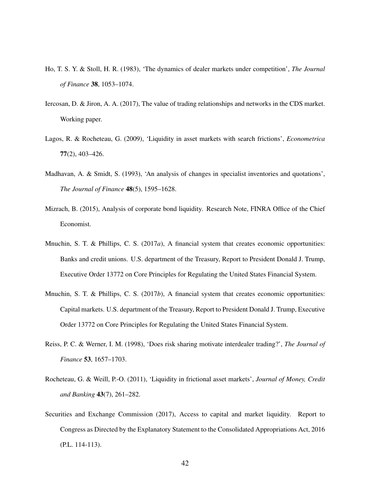- Ho, T. S. Y. & Stoll, H. R. (1983), 'The dynamics of dealer markets under competition', *The Journal of Finance* 38, 1053–1074.
- Iercosan, D. & Jiron, A. A. (2017), The value of trading relationships and networks in the CDS market. Working paper.
- Lagos, R. & Rocheteau, G. (2009), 'Liquidity in asset markets with search frictions', *Econometrica* 77(2), 403–426.
- Madhavan, A. & Smidt, S. (1993), 'An analysis of changes in specialist inventories and quotations', *The Journal of Finance* 48(5), 1595–1628.
- Mizrach, B. (2015), Analysis of corporate bond liquidity. Research Note, FINRA Office of the Chief Economist.
- Mnuchin, S. T. & Phillips, C. S. (2017*a*), A financial system that creates economic opportunities: Banks and credit unions. U.S. department of the Treasury, Report to President Donald J. Trump, Executive Order 13772 on Core Principles for Regulating the United States Financial System.
- Mnuchin, S. T. & Phillips, C. S. (2017*b*), A financial system that creates economic opportunities: Capital markets. U.S. department of the Treasury, Report to President Donald J. Trump, Executive Order 13772 on Core Principles for Regulating the United States Financial System.
- Reiss, P. C. & Werner, I. M. (1998), 'Does risk sharing motivate interdealer trading?', *The Journal of Finance* 53, 1657–1703.
- Rocheteau, G. & Weill, P.-O. (2011), 'Liquidity in frictional asset markets', *Journal of Money, Credit and Banking* 43(7), 261–282.
- Securities and Exchange Commission (2017), Access to capital and market liquidity. Report to Congress as Directed by the Explanatory Statement to the Consolidated Appropriations Act, 2016 (P.L. 114-113).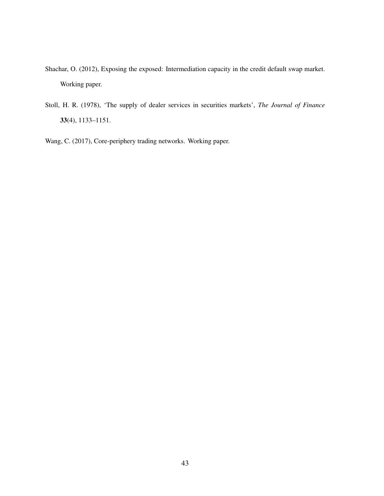- Shachar, O. (2012), Exposing the exposed: Intermediation capacity in the credit default swap market. Working paper.
- Stoll, H. R. (1978), 'The supply of dealer services in securities markets', *The Journal of Finance* 33(4), 1133–1151.
- Wang, C. (2017), Core-periphery trading networks. Working paper.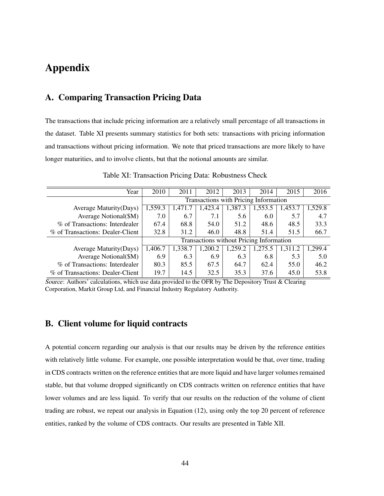# Appendix

# A. Comparing Transaction Pricing Data

The transactions that include pricing information are a relatively small percentage of all transactions in the dataset. Table XI presents summary statistics for both sets: transactions with pricing information and transactions without pricing information. We note that priced transactions are more likely to have longer maturities, and to involve clients, but that the notional amounts are similar.

| Year                             | 2010                                     | 2011    | 2012    | 2013    | 2014    | 2015    | 2016    |  |  |  |
|----------------------------------|------------------------------------------|---------|---------|---------|---------|---------|---------|--|--|--|
|                                  | Transactions with Pricing Information    |         |         |         |         |         |         |  |  |  |
| <b>Average Maturity (Days)</b>   | 1,559.3                                  | 1,471.7 | 1,423.4 | 1,387.3 | 1,553.5 | 1,453.7 | 1,529.8 |  |  |  |
| Average Notional(\$M)            | 7.0                                      | 6.7     | 7.1     | 5.6     | 6.0     | 5.7     | 4.7     |  |  |  |
| % of Transactions: Interdealer   | 67.4                                     | 68.8    | 54.0    | 51.2    | 48.6    | 48.5    | 33.3    |  |  |  |
| % of Transactions: Dealer-Client | 32.8                                     | 31.2    | 46.0    | 48.8    | 51.4    | 51.5    | 66.7    |  |  |  |
|                                  | Transactions without Pricing Information |         |         |         |         |         |         |  |  |  |
| Average Maturity (Days)          | 1,406.7                                  | 1,338.7 | 1,200.2 | 1,259.2 | 1,275.5 | 1,311.2 | 1,299.4 |  |  |  |
| Average Notional(\$M)            | 6.9                                      | 6.3     | 6.9     | 6.3     | 6.8     | 5.3     | 5.0     |  |  |  |
| % of Transactions: Interdealer   | 80.3                                     | 85.5    | 67.5    | 64.7    | 62.4    | 55.0    | 46.2    |  |  |  |
| % of Transactions: Dealer-Client | 19.7                                     | 14.5    | 32.5    | 35.3    | 37.6    | 45.0    | 53.8    |  |  |  |

Table XI: Transaction Pricing Data: Robustness Check

Source: Authors' calculations, which use data provided to the OFR by The Depository Trust & Clearing Corporation, Markit Group Ltd, and Financial Industry Regulatory Authority.

## B. Client volume for liquid contracts

A potential concern regarding our analysis is that our results may be driven by the reference entities with relatively little volume. For example, one possible interpretation would be that, over time, trading in CDS contracts written on the reference entities that are more liquid and have larger volumes remained stable, but that volume dropped significantly on CDS contracts written on reference entities that have lower volumes and are less liquid. To verify that our results on the reduction of the volume of client trading are robust, we repeat our analysis in Equation (12), using only the top 20 percent of reference entities, ranked by the volume of CDS contracts. Our results are presented in Table XII.